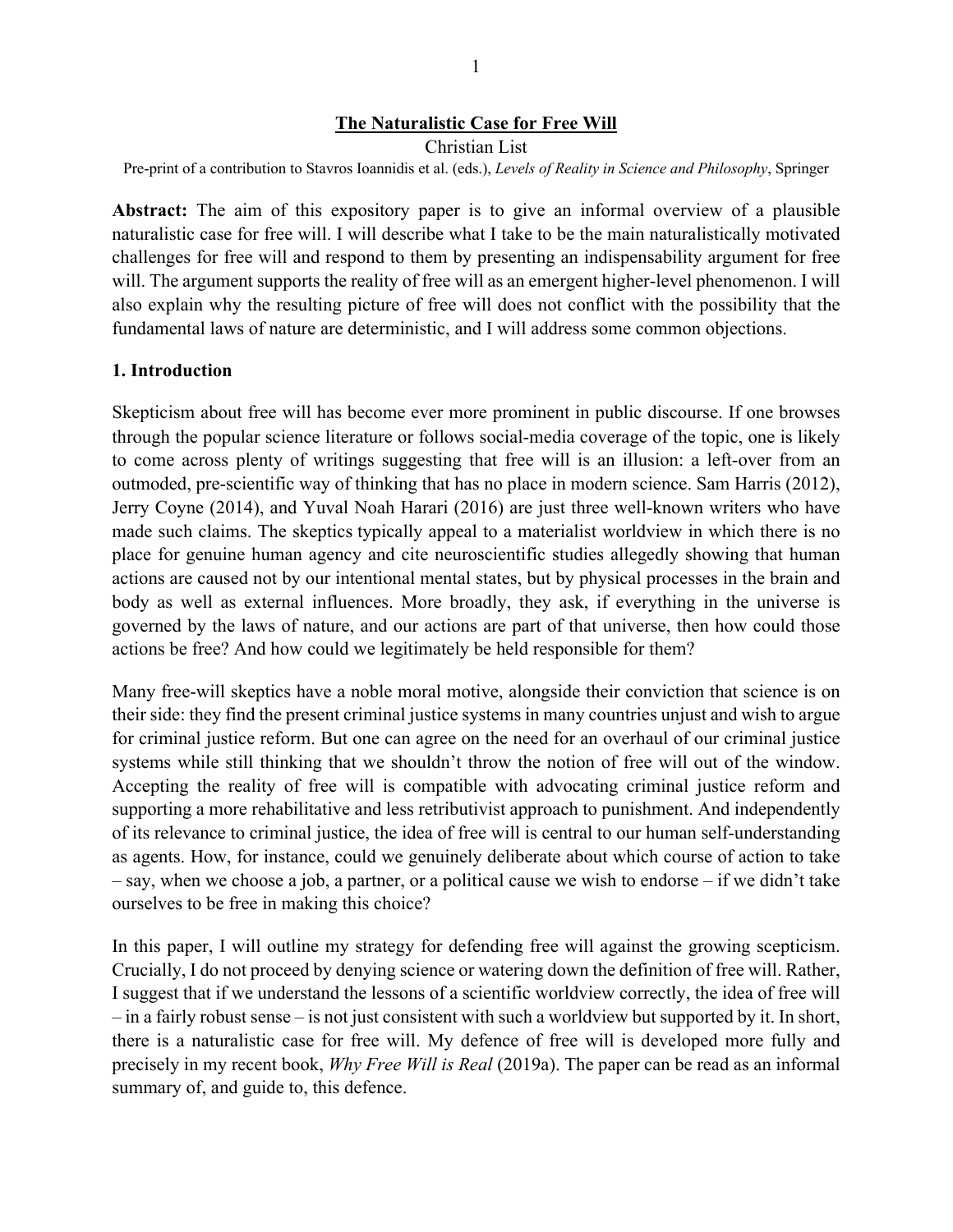#### **The Naturalistic Case for Free Will**

Christian List Pre-print of a contribution to Stavros Ioannidis et al. (eds.), *Levels of Reality in Science and Philosophy*, Springer

**Abstract:** The aim of this expository paper is to give an informal overview of a plausible naturalistic case for free will. I will describe what I take to be the main naturalistically motivated challenges for free will and respond to them by presenting an indispensability argument for free will. The argument supports the reality of free will as an emergent higher-level phenomenon. I will also explain why the resulting picture of free will does not conflict with the possibility that the fundamental laws of nature are deterministic, and I will address some common objections.

#### **1. Introduction**

Skepticism about free will has become ever more prominent in public discourse. If one browses through the popular science literature or follows social-media coverage of the topic, one is likely to come across plenty of writings suggesting that free will is an illusion: a left-over from an outmoded, pre-scientific way of thinking that has no place in modern science. Sam Harris (2012), Jerry Coyne (2014), and Yuval Noah Harari (2016) are just three well-known writers who have made such claims. The skeptics typically appeal to a materialist worldview in which there is no place for genuine human agency and cite neuroscientific studies allegedly showing that human actions are caused not by our intentional mental states, but by physical processes in the brain and body as well as external influences. More broadly, they ask, if everything in the universe is governed by the laws of nature, and our actions are part of that universe, then how could those actions be free? And how could we legitimately be held responsible for them?

Many free-will skeptics have a noble moral motive, alongside their conviction that science is on their side: they find the present criminal justice systems in many countries unjust and wish to argue for criminal justice reform. But one can agree on the need for an overhaul of our criminal justice systems while still thinking that we shouldn't throw the notion of free will out of the window. Accepting the reality of free will is compatible with advocating criminal justice reform and supporting a more rehabilitative and less retributivist approach to punishment. And independently of its relevance to criminal justice, the idea of free will is central to our human self-understanding as agents. How, for instance, could we genuinely deliberate about which course of action to take – say, when we choose a job, a partner, or a political cause we wish to endorse – if we didn't take ourselves to be free in making this choice?

In this paper, I will outline my strategy for defending free will against the growing scepticism. Crucially, I do not proceed by denying science or watering down the definition of free will. Rather, I suggest that if we understand the lessons of a scientific worldview correctly, the idea of free will – in a fairly robust sense – is not just consistent with such a worldview but supported by it. In short, there is a naturalistic case for free will. My defence of free will is developed more fully and precisely in my recent book, *Why Free Will is Real* (2019a). The paper can be read as an informal summary of, and guide to, this defence.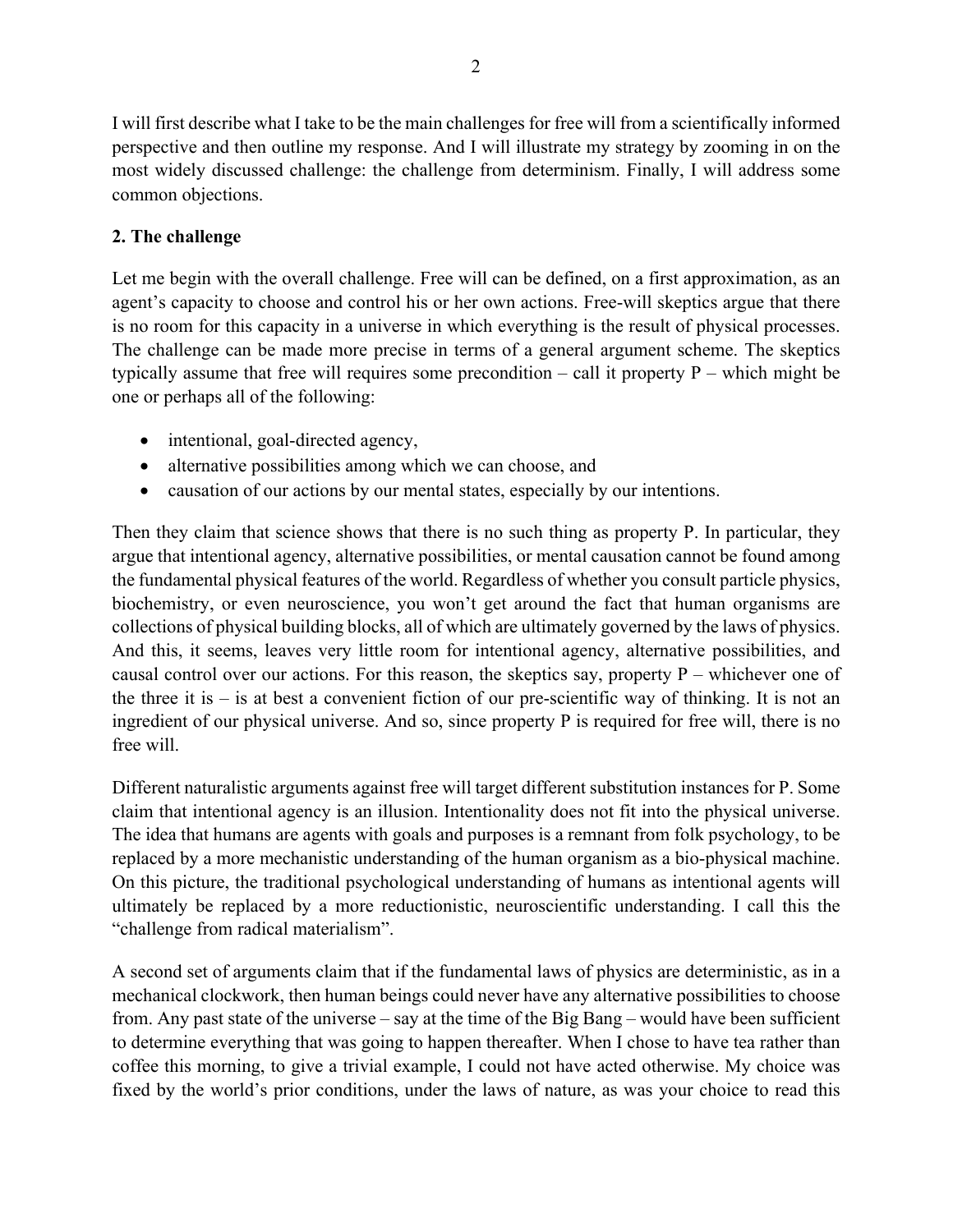I will first describe what I take to be the main challenges for free will from a scientifically informed perspective and then outline my response. And I will illustrate my strategy by zooming in on the most widely discussed challenge: the challenge from determinism. Finally, I will address some common objections.

# **2. The challenge**

Let me begin with the overall challenge. Free will can be defined, on a first approximation, as an agent's capacity to choose and control his or her own actions. Free-will skeptics argue that there is no room for this capacity in a universe in which everything is the result of physical processes. The challenge can be made more precise in terms of a general argument scheme. The skeptics typically assume that free will requires some precondition – call it property P – which might be one or perhaps all of the following:

- intentional, goal-directed agency,
- alternative possibilities among which we can choose, and
- causation of our actions by our mental states, especially by our intentions.

Then they claim that science shows that there is no such thing as property P. In particular, they argue that intentional agency, alternative possibilities, or mental causation cannot be found among the fundamental physical features of the world. Regardless of whether you consult particle physics, biochemistry, or even neuroscience, you won't get around the fact that human organisms are collections of physical building blocks, all of which are ultimately governed by the laws of physics. And this, it seems, leaves very little room for intentional agency, alternative possibilities, and causal control over our actions. For this reason, the skeptics say, property P – whichever one of the three it is  $-$  is at best a convenient fiction of our pre-scientific way of thinking. It is not an ingredient of our physical universe. And so, since property P is required for free will, there is no free will.

Different naturalistic arguments against free will target different substitution instances for P. Some claim that intentional agency is an illusion. Intentionality does not fit into the physical universe. The idea that humans are agents with goals and purposes is a remnant from folk psychology, to be replaced by a more mechanistic understanding of the human organism as a bio-physical machine. On this picture, the traditional psychological understanding of humans as intentional agents will ultimately be replaced by a more reductionistic, neuroscientific understanding. I call this the "challenge from radical materialism".

A second set of arguments claim that if the fundamental laws of physics are deterministic, as in a mechanical clockwork, then human beings could never have any alternative possibilities to choose from. Any past state of the universe – say at the time of the Big Bang – would have been sufficient to determine everything that was going to happen thereafter. When I chose to have tea rather than coffee this morning, to give a trivial example, I could not have acted otherwise. My choice was fixed by the world's prior conditions, under the laws of nature, as was your choice to read this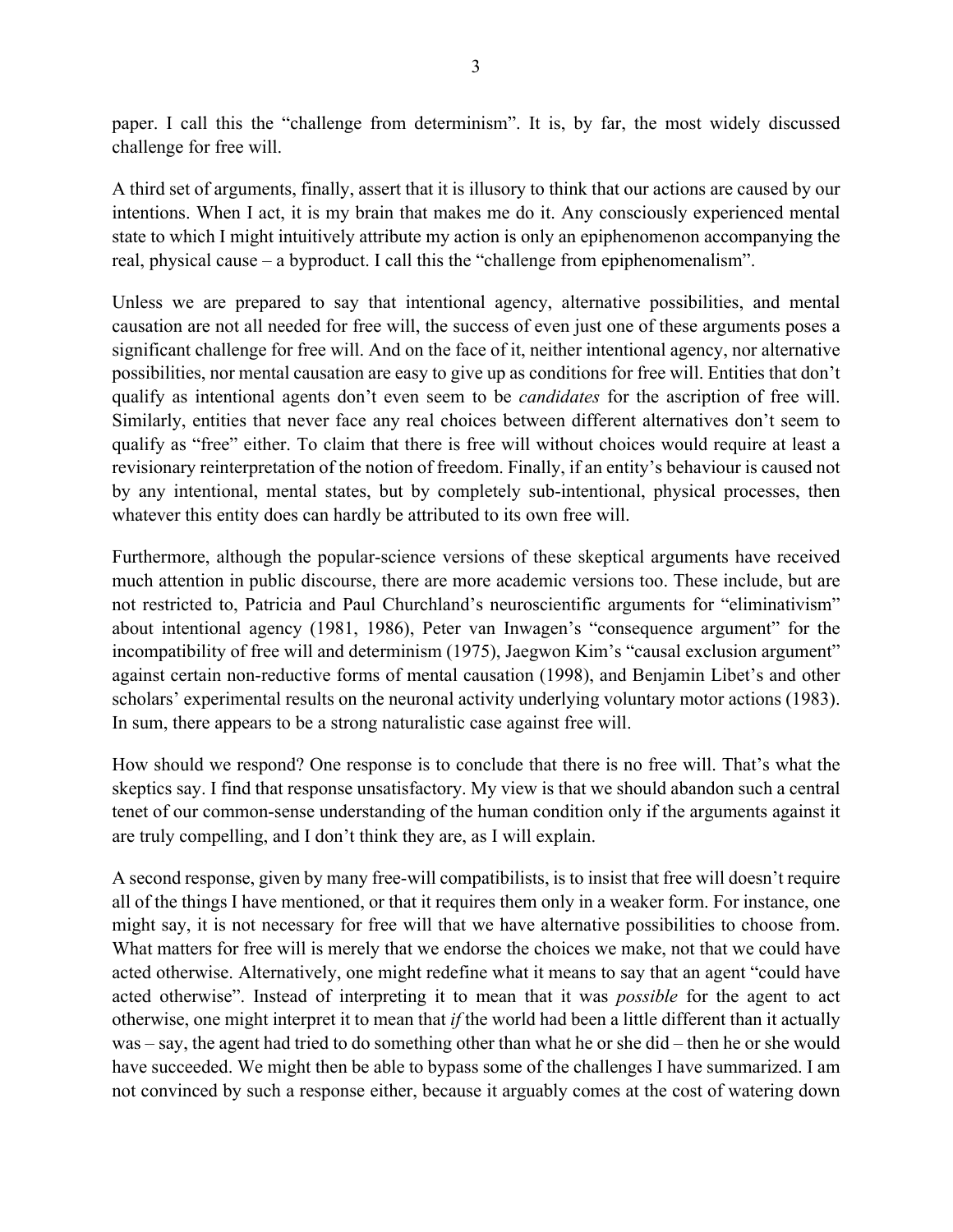paper. I call this the "challenge from determinism". It is, by far, the most widely discussed challenge for free will.

A third set of arguments, finally, assert that it is illusory to think that our actions are caused by our intentions. When I act, it is my brain that makes me do it. Any consciously experienced mental state to which I might intuitively attribute my action is only an epiphenomenon accompanying the real, physical cause – a byproduct. I call this the "challenge from epiphenomenalism".

Unless we are prepared to say that intentional agency, alternative possibilities, and mental causation are not all needed for free will, the success of even just one of these arguments poses a significant challenge for free will. And on the face of it, neither intentional agency, nor alternative possibilities, nor mental causation are easy to give up as conditions for free will. Entities that don't qualify as intentional agents don't even seem to be *candidates* for the ascription of free will. Similarly, entities that never face any real choices between different alternatives don't seem to qualify as "free" either. To claim that there is free will without choices would require at least a revisionary reinterpretation of the notion of freedom. Finally, if an entity's behaviour is caused not by any intentional, mental states, but by completely sub-intentional, physical processes, then whatever this entity does can hardly be attributed to its own free will.

Furthermore, although the popular-science versions of these skeptical arguments have received much attention in public discourse, there are more academic versions too. These include, but are not restricted to, Patricia and Paul Churchland's neuroscientific arguments for "eliminativism" about intentional agency (1981, 1986), Peter van Inwagen's "consequence argument" for the incompatibility of free will and determinism (1975), Jaegwon Kim's "causal exclusion argument" against certain non-reductive forms of mental causation (1998), and Benjamin Libet's and other scholars' experimental results on the neuronal activity underlying voluntary motor actions (1983). In sum, there appears to be a strong naturalistic case against free will.

How should we respond? One response is to conclude that there is no free will. That's what the skeptics say. I find that response unsatisfactory. My view is that we should abandon such a central tenet of our common-sense understanding of the human condition only if the arguments against it are truly compelling, and I don't think they are, as I will explain.

A second response, given by many free-will compatibilists, is to insist that free will doesn't require all of the things I have mentioned, or that it requires them only in a weaker form. For instance, one might say, it is not necessary for free will that we have alternative possibilities to choose from. What matters for free will is merely that we endorse the choices we make, not that we could have acted otherwise. Alternatively, one might redefine what it means to say that an agent "could have acted otherwise". Instead of interpreting it to mean that it was *possible* for the agent to act otherwise, one might interpret it to mean that *if* the world had been a little different than it actually was – say, the agent had tried to do something other than what he or she did – then he or she would have succeeded. We might then be able to bypass some of the challenges I have summarized. I am not convinced by such a response either, because it arguably comes at the cost of watering down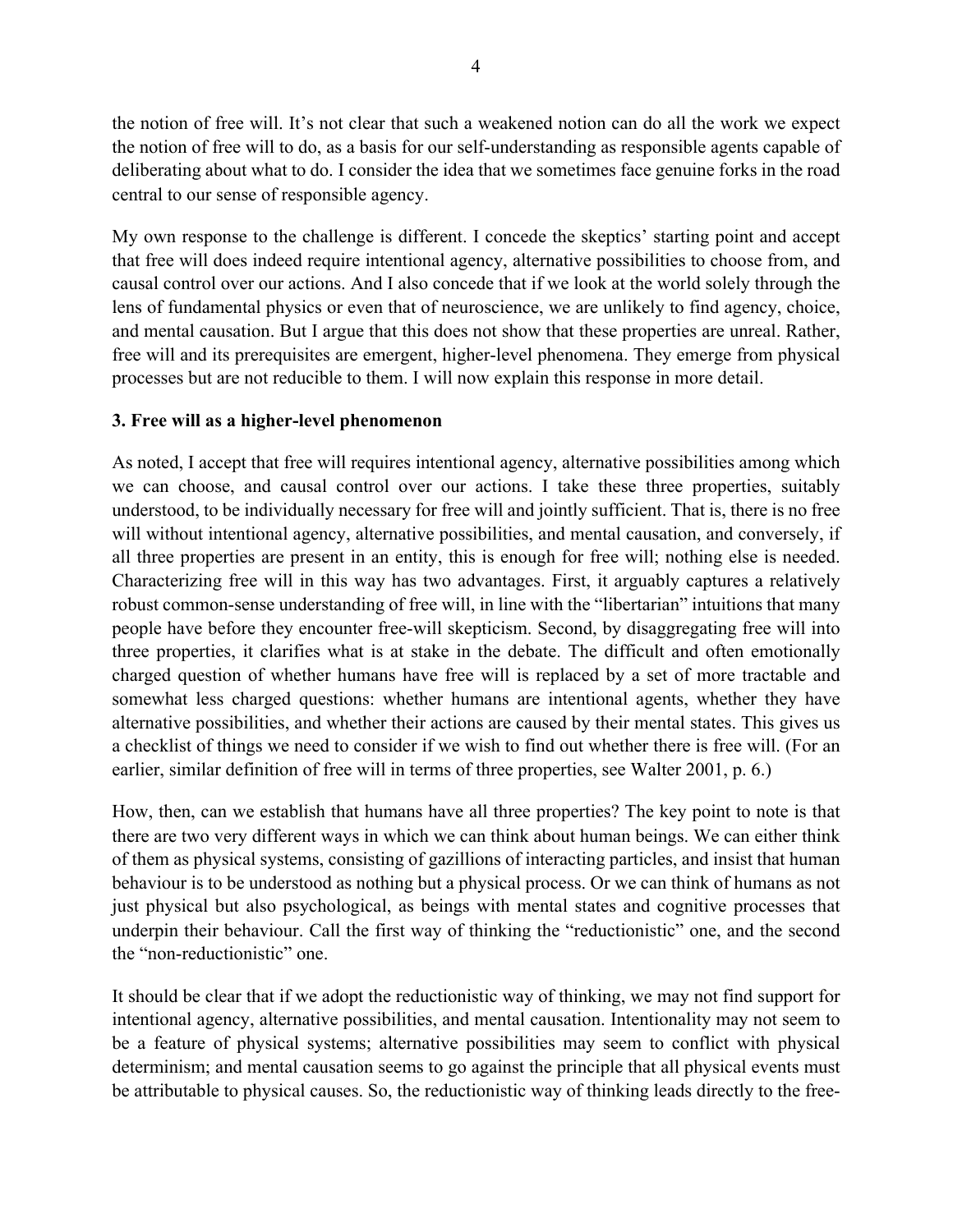the notion of free will. It's not clear that such a weakened notion can do all the work we expect the notion of free will to do, as a basis for our self-understanding as responsible agents capable of deliberating about what to do. I consider the idea that we sometimes face genuine forks in the road central to our sense of responsible agency.

My own response to the challenge is different. I concede the skeptics' starting point and accept that free will does indeed require intentional agency, alternative possibilities to choose from, and causal control over our actions. And I also concede that if we look at the world solely through the lens of fundamental physics or even that of neuroscience, we are unlikely to find agency, choice, and mental causation. But I argue that this does not show that these properties are unreal. Rather, free will and its prerequisites are emergent, higher-level phenomena. They emerge from physical processes but are not reducible to them. I will now explain this response in more detail.

### **3. Free will as a higher-level phenomenon**

As noted, I accept that free will requires intentional agency, alternative possibilities among which we can choose, and causal control over our actions. I take these three properties, suitably understood, to be individually necessary for free will and jointly sufficient. That is, there is no free will without intentional agency, alternative possibilities, and mental causation, and conversely, if all three properties are present in an entity, this is enough for free will; nothing else is needed. Characterizing free will in this way has two advantages. First, it arguably captures a relatively robust common-sense understanding of free will, in line with the "libertarian" intuitions that many people have before they encounter free-will skepticism. Second, by disaggregating free will into three properties, it clarifies what is at stake in the debate. The difficult and often emotionally charged question of whether humans have free will is replaced by a set of more tractable and somewhat less charged questions: whether humans are intentional agents, whether they have alternative possibilities, and whether their actions are caused by their mental states. This gives us a checklist of things we need to consider if we wish to find out whether there is free will. (For an earlier, similar definition of free will in terms of three properties, see Walter 2001, p. 6.)

How, then, can we establish that humans have all three properties? The key point to note is that there are two very different ways in which we can think about human beings. We can either think of them as physical systems, consisting of gazillions of interacting particles, and insist that human behaviour is to be understood as nothing but a physical process. Or we can think of humans as not just physical but also psychological, as beings with mental states and cognitive processes that underpin their behaviour. Call the first way of thinking the "reductionistic" one, and the second the "non-reductionistic" one.

It should be clear that if we adopt the reductionistic way of thinking, we may not find support for intentional agency, alternative possibilities, and mental causation. Intentionality may not seem to be a feature of physical systems; alternative possibilities may seem to conflict with physical determinism; and mental causation seems to go against the principle that all physical events must be attributable to physical causes. So, the reductionistic way of thinking leads directly to the free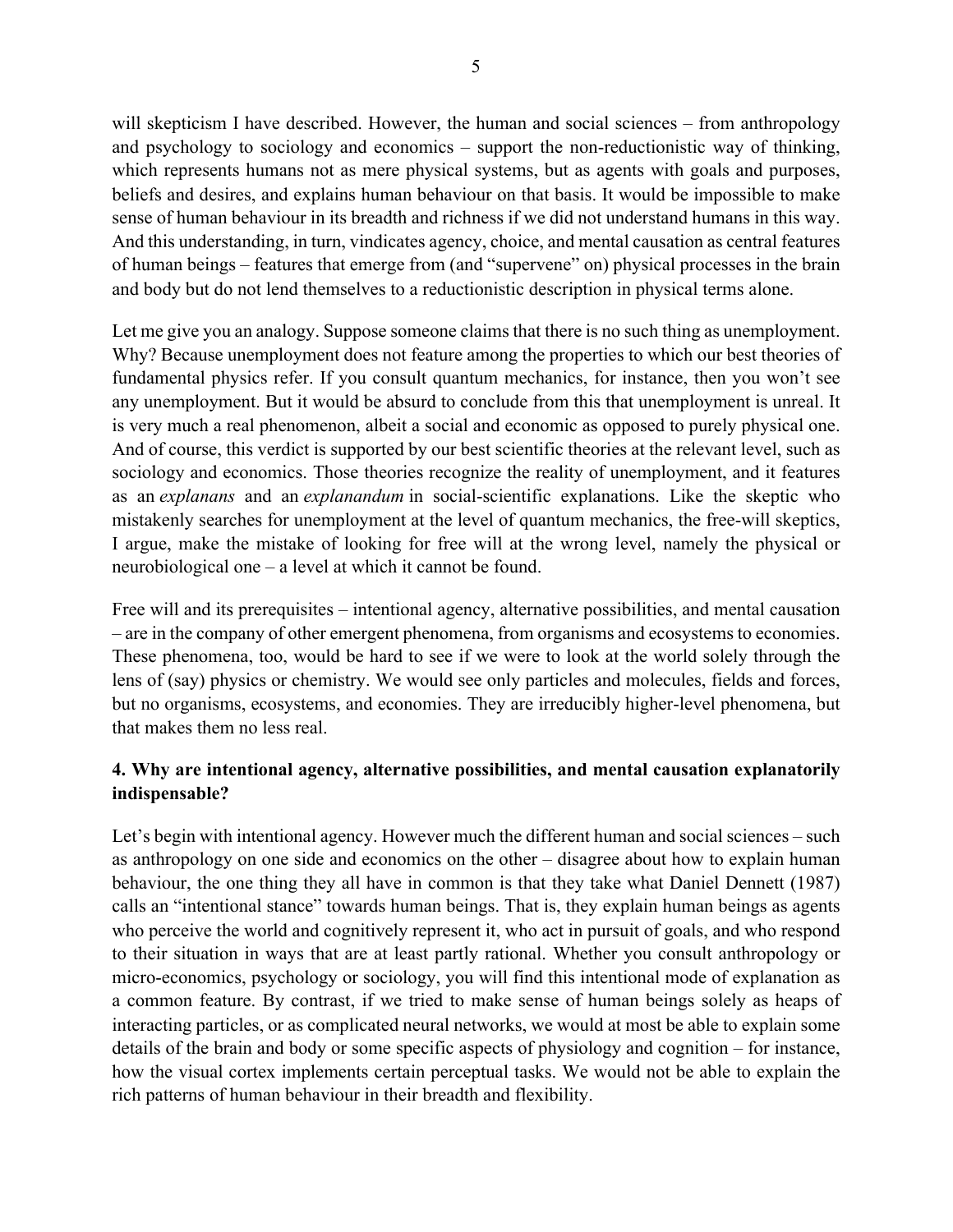will skepticism I have described. However, the human and social sciences – from anthropology and psychology to sociology and economics – support the non-reductionistic way of thinking, which represents humans not as mere physical systems, but as agents with goals and purposes, beliefs and desires, and explains human behaviour on that basis. It would be impossible to make sense of human behaviour in its breadth and richness if we did not understand humans in this way. And this understanding, in turn, vindicates agency, choice, and mental causation as central features of human beings – features that emerge from (and "supervene" on) physical processes in the brain and body but do not lend themselves to a reductionistic description in physical terms alone.

Let me give you an analogy. Suppose someone claims that there is no such thing as unemployment. Why? Because unemployment does not feature among the properties to which our best theories of fundamental physics refer. If you consult quantum mechanics, for instance, then you won't see any unemployment. But it would be absurd to conclude from this that unemployment is unreal. It is very much a real phenomenon, albeit a social and economic as opposed to purely physical one. And of course, this verdict is supported by our best scientific theories at the relevant level, such as sociology and economics. Those theories recognize the reality of unemployment, and it features as an *explanans* and an *explanandum* in social-scientific explanations. Like the skeptic who mistakenly searches for unemployment at the level of quantum mechanics, the free-will skeptics, I argue, make the mistake of looking for free will at the wrong level, namely the physical or neurobiological one – a level at which it cannot be found.

Free will and its prerequisites – intentional agency, alternative possibilities, and mental causation – are in the company of other emergent phenomena, from organisms and ecosystems to economies. These phenomena, too, would be hard to see if we were to look at the world solely through the lens of (say) physics or chemistry. We would see only particles and molecules, fields and forces, but no organisms, ecosystems, and economies. They are irreducibly higher-level phenomena, but that makes them no less real.

# **4. Why are intentional agency, alternative possibilities, and mental causation explanatorily indispensable?**

Let's begin with intentional agency. However much the different human and social sciences – such as anthropology on one side and economics on the other – disagree about how to explain human behaviour, the one thing they all have in common is that they take what Daniel Dennett (1987) calls an "intentional stance" towards human beings. That is, they explain human beings as agents who perceive the world and cognitively represent it, who act in pursuit of goals, and who respond to their situation in ways that are at least partly rational. Whether you consult anthropology or micro-economics, psychology or sociology, you will find this intentional mode of explanation as a common feature. By contrast, if we tried to make sense of human beings solely as heaps of interacting particles, or as complicated neural networks, we would at most be able to explain some details of the brain and body or some specific aspects of physiology and cognition – for instance, how the visual cortex implements certain perceptual tasks. We would not be able to explain the rich patterns of human behaviour in their breadth and flexibility.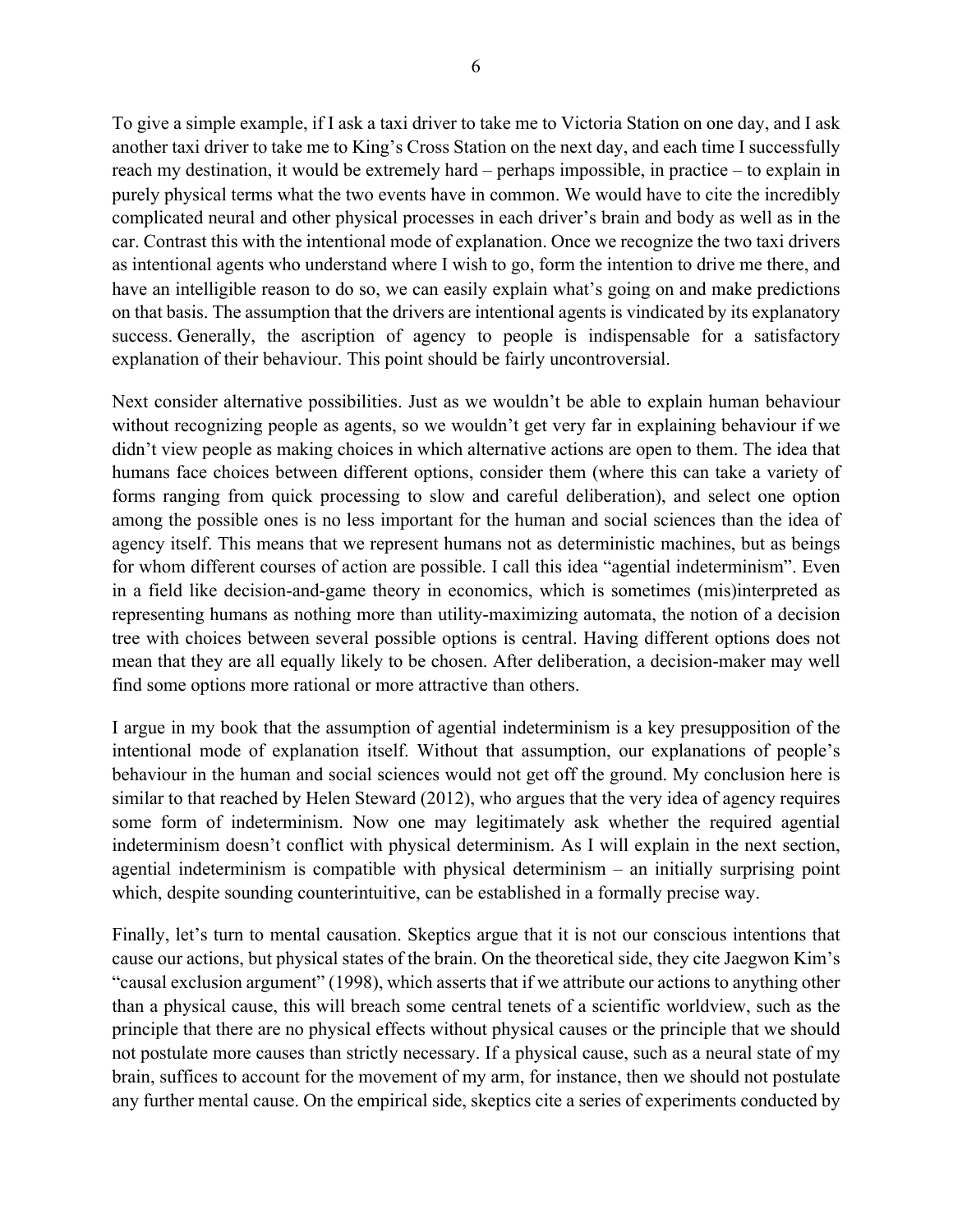To give a simple example, if I ask a taxi driver to take me to Victoria Station on one day, and I ask another taxi driver to take me to King's Cross Station on the next day, and each time I successfully reach my destination, it would be extremely hard – perhaps impossible, in practice – to explain in purely physical terms what the two events have in common. We would have to cite the incredibly complicated neural and other physical processes in each driver's brain and body as well as in the car. Contrast this with the intentional mode of explanation. Once we recognize the two taxi drivers as intentional agents who understand where I wish to go, form the intention to drive me there, and have an intelligible reason to do so, we can easily explain what's going on and make predictions on that basis. The assumption that the drivers are intentional agents is vindicated by its explanatory success. Generally, the ascription of agency to people is indispensable for a satisfactory explanation of their behaviour. This point should be fairly uncontroversial.

Next consider alternative possibilities. Just as we wouldn't be able to explain human behaviour without recognizing people as agents, so we wouldn't get very far in explaining behaviour if we didn't view people as making choices in which alternative actions are open to them. The idea that humans face choices between different options, consider them (where this can take a variety of forms ranging from quick processing to slow and careful deliberation), and select one option among the possible ones is no less important for the human and social sciences than the idea of agency itself. This means that we represent humans not as deterministic machines, but as beings for whom different courses of action are possible. I call this idea "agential indeterminism". Even in a field like decision-and-game theory in economics, which is sometimes (mis)interpreted as representing humans as nothing more than utility-maximizing automata, the notion of a decision tree with choices between several possible options is central. Having different options does not mean that they are all equally likely to be chosen. After deliberation, a decision-maker may well find some options more rational or more attractive than others.

I argue in my book that the assumption of agential indeterminism is a key presupposition of the intentional mode of explanation itself. Without that assumption, our explanations of people's behaviour in the human and social sciences would not get off the ground. My conclusion here is similar to that reached by Helen Steward (2012), who argues that the very idea of agency requires some form of indeterminism. Now one may legitimately ask whether the required agential indeterminism doesn't conflict with physical determinism. As I will explain in the next section, agential indeterminism is compatible with physical determinism – an initially surprising point which, despite sounding counterintuitive, can be established in a formally precise way.

Finally, let's turn to mental causation. Skeptics argue that it is not our conscious intentions that cause our actions, but physical states of the brain. On the theoretical side, they cite Jaegwon Kim's "causal exclusion argument" (1998), which asserts that if we attribute our actions to anything other than a physical cause, this will breach some central tenets of a scientific worldview, such as the principle that there are no physical effects without physical causes or the principle that we should not postulate more causes than strictly necessary. If a physical cause, such as a neural state of my brain, suffices to account for the movement of my arm, for instance, then we should not postulate any further mental cause. On the empirical side, skeptics cite a series of experiments conducted by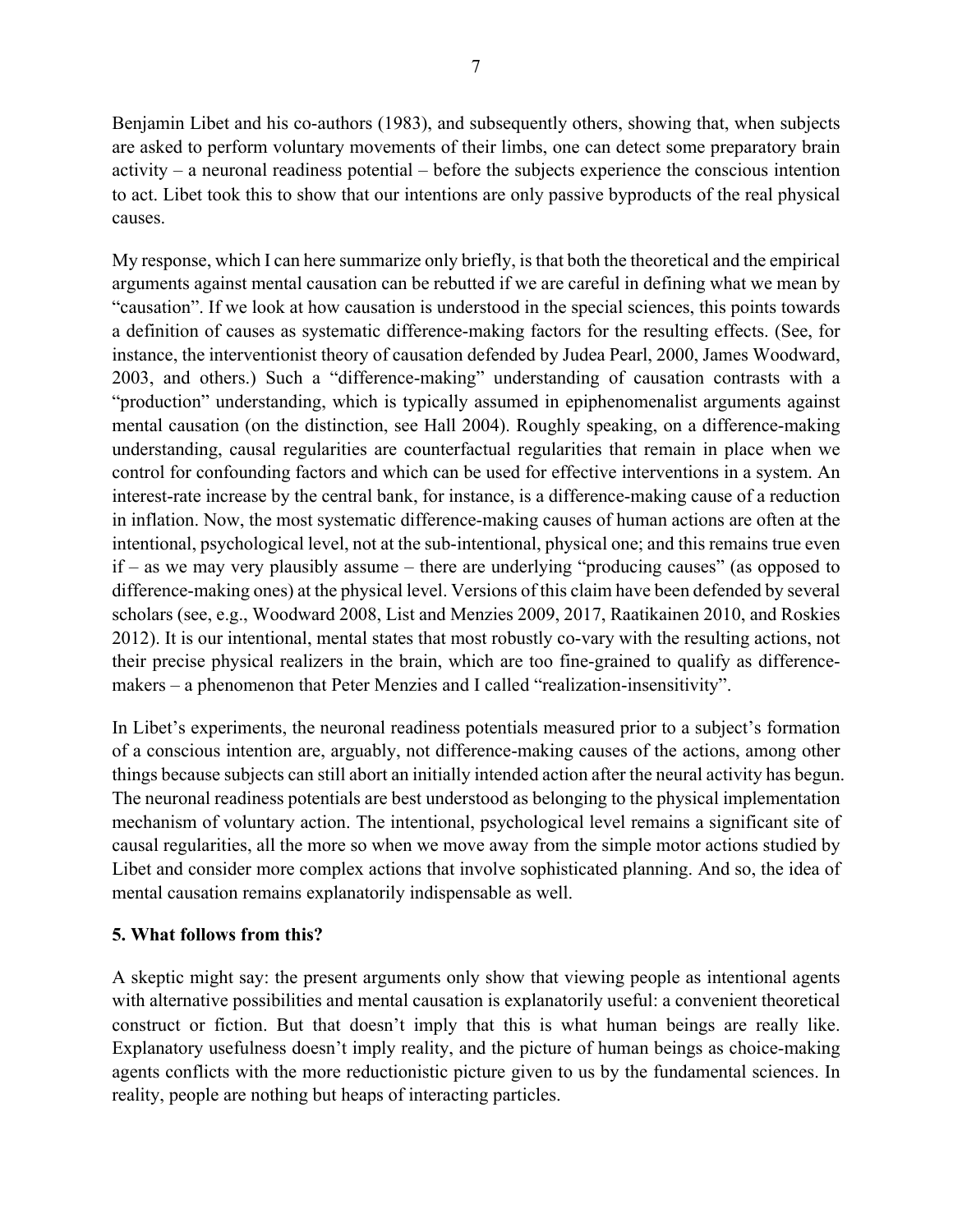Benjamin Libet and his co-authors (1983), and subsequently others, showing that, when subjects are asked to perform voluntary movements of their limbs, one can detect some preparatory brain activity – a neuronal readiness potential – before the subjects experience the conscious intention to act. Libet took this to show that our intentions are only passive byproducts of the real physical causes.

My response, which I can here summarize only briefly, is that both the theoretical and the empirical arguments against mental causation can be rebutted if we are careful in defining what we mean by "causation". If we look at how causation is understood in the special sciences, this points towards a definition of causes as systematic difference-making factors for the resulting effects. (See, for instance, the interventionist theory of causation defended by Judea Pearl, 2000, James Woodward, 2003, and others.) Such a "difference-making" understanding of causation contrasts with a "production" understanding, which is typically assumed in epiphenomenalist arguments against mental causation (on the distinction, see Hall 2004). Roughly speaking, on a difference-making understanding, causal regularities are counterfactual regularities that remain in place when we control for confounding factors and which can be used for effective interventions in a system. An interest-rate increase by the central bank, for instance, is a difference-making cause of a reduction in inflation. Now, the most systematic difference-making causes of human actions are often at the intentional, psychological level, not at the sub-intentional, physical one; and this remains true even if – as we may very plausibly assume – there are underlying "producing causes" (as opposed to difference-making ones) at the physical level. Versions of this claim have been defended by several scholars (see, e.g., Woodward 2008, List and Menzies 2009, 2017, Raatikainen 2010, and Roskies 2012). It is our intentional, mental states that most robustly co-vary with the resulting actions, not their precise physical realizers in the brain, which are too fine-grained to qualify as differencemakers – a phenomenon that Peter Menzies and I called "realization-insensitivity".

In Libet's experiments, the neuronal readiness potentials measured prior to a subject's formation of a conscious intention are, arguably, not difference-making causes of the actions, among other things because subjects can still abort an initially intended action after the neural activity has begun. The neuronal readiness potentials are best understood as belonging to the physical implementation mechanism of voluntary action. The intentional, psychological level remains a significant site of causal regularities, all the more so when we move away from the simple motor actions studied by Libet and consider more complex actions that involve sophisticated planning. And so, the idea of mental causation remains explanatorily indispensable as well.

## **5. What follows from this?**

A skeptic might say: the present arguments only show that viewing people as intentional agents with alternative possibilities and mental causation is explanatorily useful: a convenient theoretical construct or fiction. But that doesn't imply that this is what human beings are really like. Explanatory usefulness doesn't imply reality, and the picture of human beings as choice-making agents conflicts with the more reductionistic picture given to us by the fundamental sciences. In reality, people are nothing but heaps of interacting particles.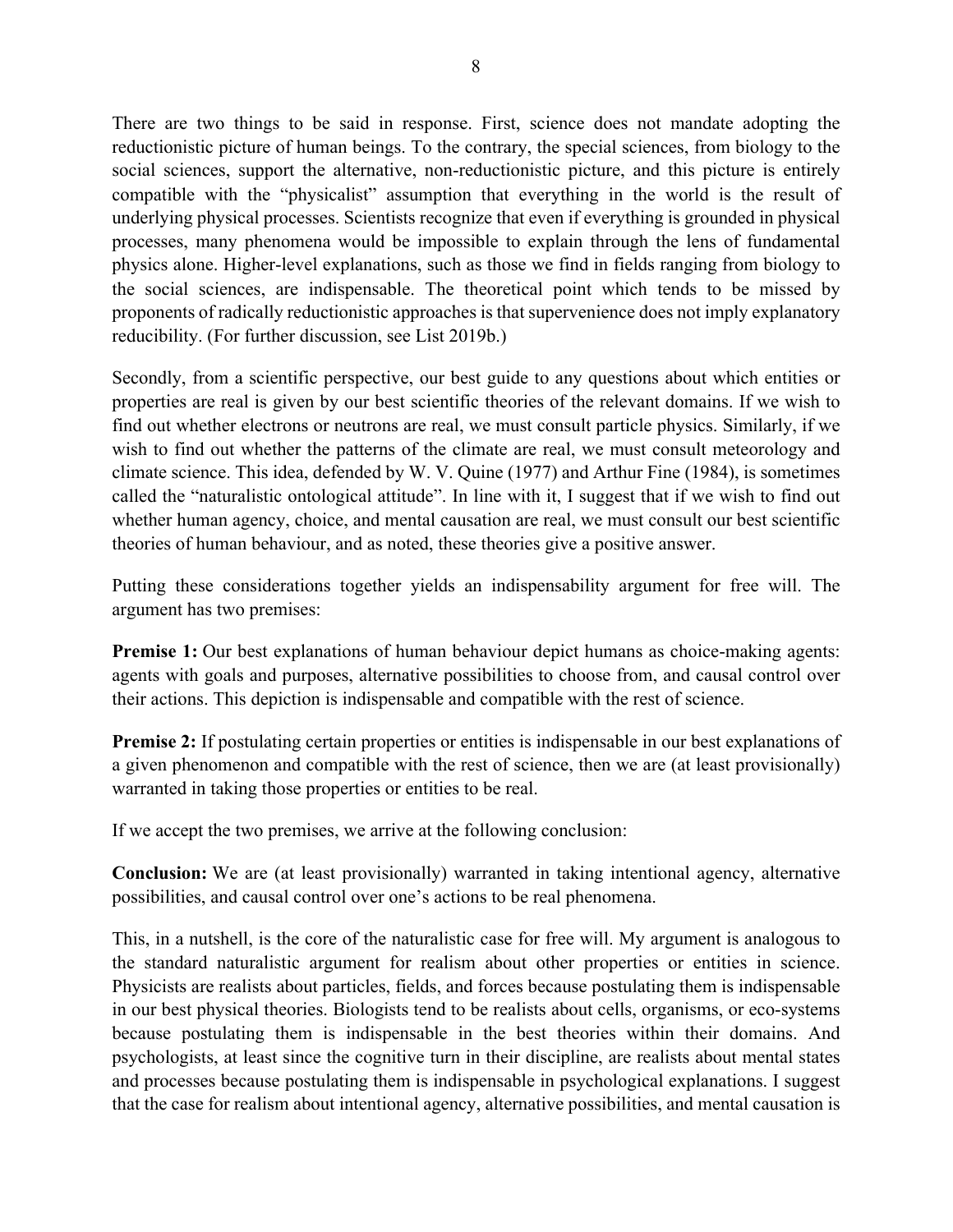There are two things to be said in response. First, science does not mandate adopting the reductionistic picture of human beings. To the contrary, the special sciences, from biology to the social sciences, support the alternative, non-reductionistic picture, and this picture is entirely compatible with the "physicalist" assumption that everything in the world is the result of underlying physical processes. Scientists recognize that even if everything is grounded in physical processes, many phenomena would be impossible to explain through the lens of fundamental physics alone. Higher-level explanations, such as those we find in fields ranging from biology to the social sciences, are indispensable. The theoretical point which tends to be missed by proponents of radically reductionistic approaches is that supervenience does not imply explanatory reducibility. (For further discussion, see List 2019b.)

Secondly, from a scientific perspective, our best guide to any questions about which entities or properties are real is given by our best scientific theories of the relevant domains. If we wish to find out whether electrons or neutrons are real, we must consult particle physics. Similarly, if we wish to find out whether the patterns of the climate are real, we must consult meteorology and climate science. This idea, defended by W. V. Quine (1977) and Arthur Fine (1984), is sometimes called the "naturalistic ontological attitude". In line with it, I suggest that if we wish to find out whether human agency, choice, and mental causation are real, we must consult our best scientific theories of human behaviour, and as noted, these theories give a positive answer.

Putting these considerations together yields an indispensability argument for free will. The argument has two premises:

**Premise 1:** Our best explanations of human behaviour depict humans as choice-making agents: agents with goals and purposes, alternative possibilities to choose from, and causal control over their actions. This depiction is indispensable and compatible with the rest of science.

**Premise 2:** If postulating certain properties or entities is indispensable in our best explanations of a given phenomenon and compatible with the rest of science, then we are (at least provisionally) warranted in taking those properties or entities to be real.

If we accept the two premises, we arrive at the following conclusion:

**Conclusion:** We are (at least provisionally) warranted in taking intentional agency, alternative possibilities, and causal control over one's actions to be real phenomena.

This, in a nutshell, is the core of the naturalistic case for free will. My argument is analogous to the standard naturalistic argument for realism about other properties or entities in science. Physicists are realists about particles, fields, and forces because postulating them is indispensable in our best physical theories. Biologists tend to be realists about cells, organisms, or eco-systems because postulating them is indispensable in the best theories within their domains. And psychologists, at least since the cognitive turn in their discipline, are realists about mental states and processes because postulating them is indispensable in psychological explanations. I suggest that the case for realism about intentional agency, alternative possibilities, and mental causation is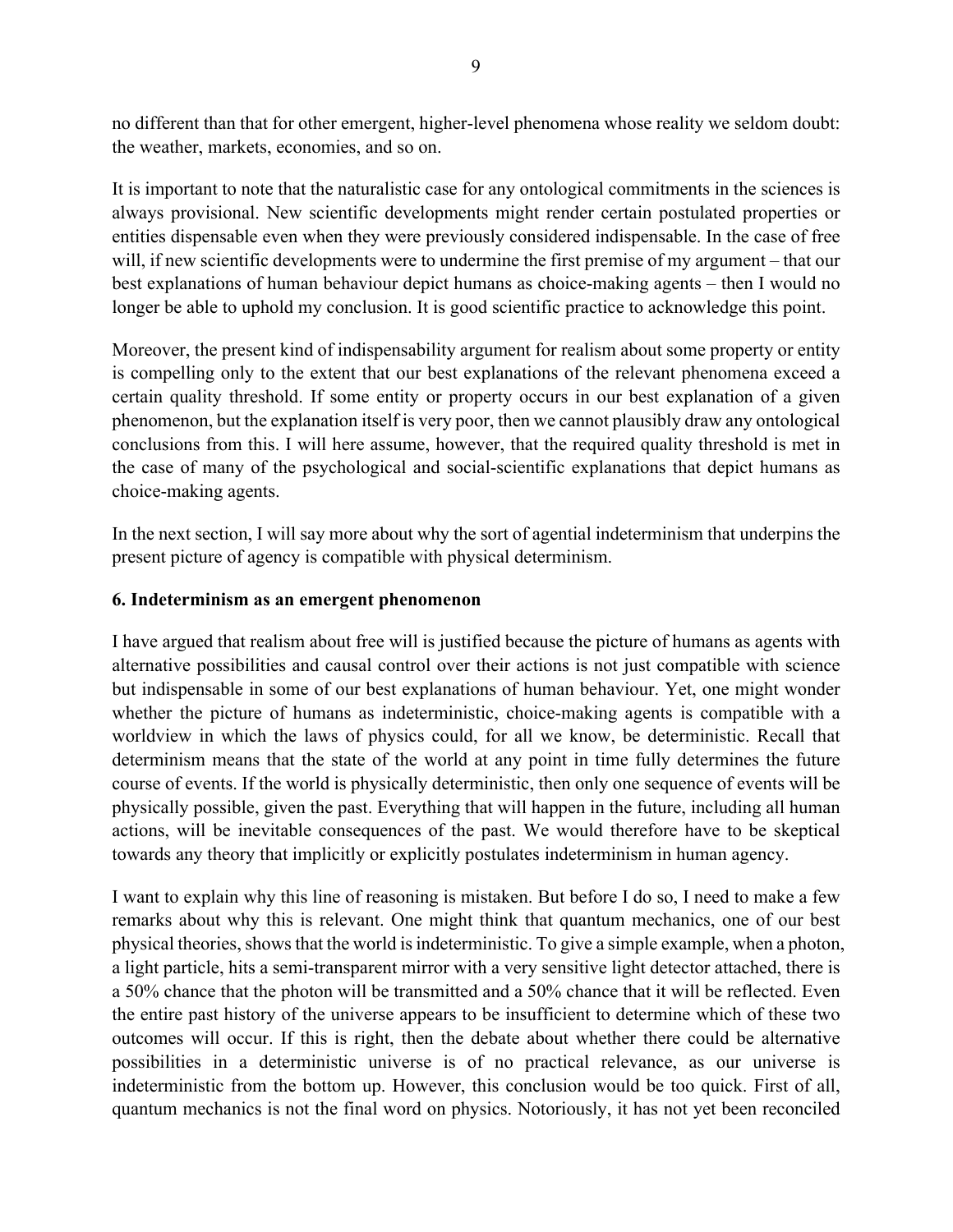no different than that for other emergent, higher-level phenomena whose reality we seldom doubt: the weather, markets, economies, and so on.

It is important to note that the naturalistic case for any ontological commitments in the sciences is always provisional. New scientific developments might render certain postulated properties or entities dispensable even when they were previously considered indispensable. In the case of free will, if new scientific developments were to undermine the first premise of my argument – that our best explanations of human behaviour depict humans as choice-making agents – then I would no longer be able to uphold my conclusion. It is good scientific practice to acknowledge this point.

Moreover, the present kind of indispensability argument for realism about some property or entity is compelling only to the extent that our best explanations of the relevant phenomena exceed a certain quality threshold. If some entity or property occurs in our best explanation of a given phenomenon, but the explanation itself is very poor, then we cannot plausibly draw any ontological conclusions from this. I will here assume, however, that the required quality threshold is met in the case of many of the psychological and social-scientific explanations that depict humans as choice-making agents.

In the next section, I will say more about why the sort of agential indeterminism that underpins the present picture of agency is compatible with physical determinism.

### **6. Indeterminism as an emergent phenomenon**

I have argued that realism about free will is justified because the picture of humans as agents with alternative possibilities and causal control over their actions is not just compatible with science but indispensable in some of our best explanations of human behaviour. Yet, one might wonder whether the picture of humans as indeterministic, choice-making agents is compatible with a worldview in which the laws of physics could, for all we know, be deterministic. Recall that determinism means that the state of the world at any point in time fully determines the future course of events. If the world is physically deterministic, then only one sequence of events will be physically possible, given the past. Everything that will happen in the future, including all human actions, will be inevitable consequences of the past. We would therefore have to be skeptical towards any theory that implicitly or explicitly postulates indeterminism in human agency.

I want to explain why this line of reasoning is mistaken. But before I do so, I need to make a few remarks about why this is relevant. One might think that quantum mechanics, one of our best physical theories, shows that the world is indeterministic. To give a simple example, when a photon, a light particle, hits a semi-transparent mirror with a very sensitive light detector attached, there is a 50% chance that the photon will be transmitted and a 50% chance that it will be reflected. Even the entire past history of the universe appears to be insufficient to determine which of these two outcomes will occur. If this is right, then the debate about whether there could be alternative possibilities in a deterministic universe is of no practical relevance, as our universe is indeterministic from the bottom up. However, this conclusion would be too quick. First of all, quantum mechanics is not the final word on physics. Notoriously, it has not yet been reconciled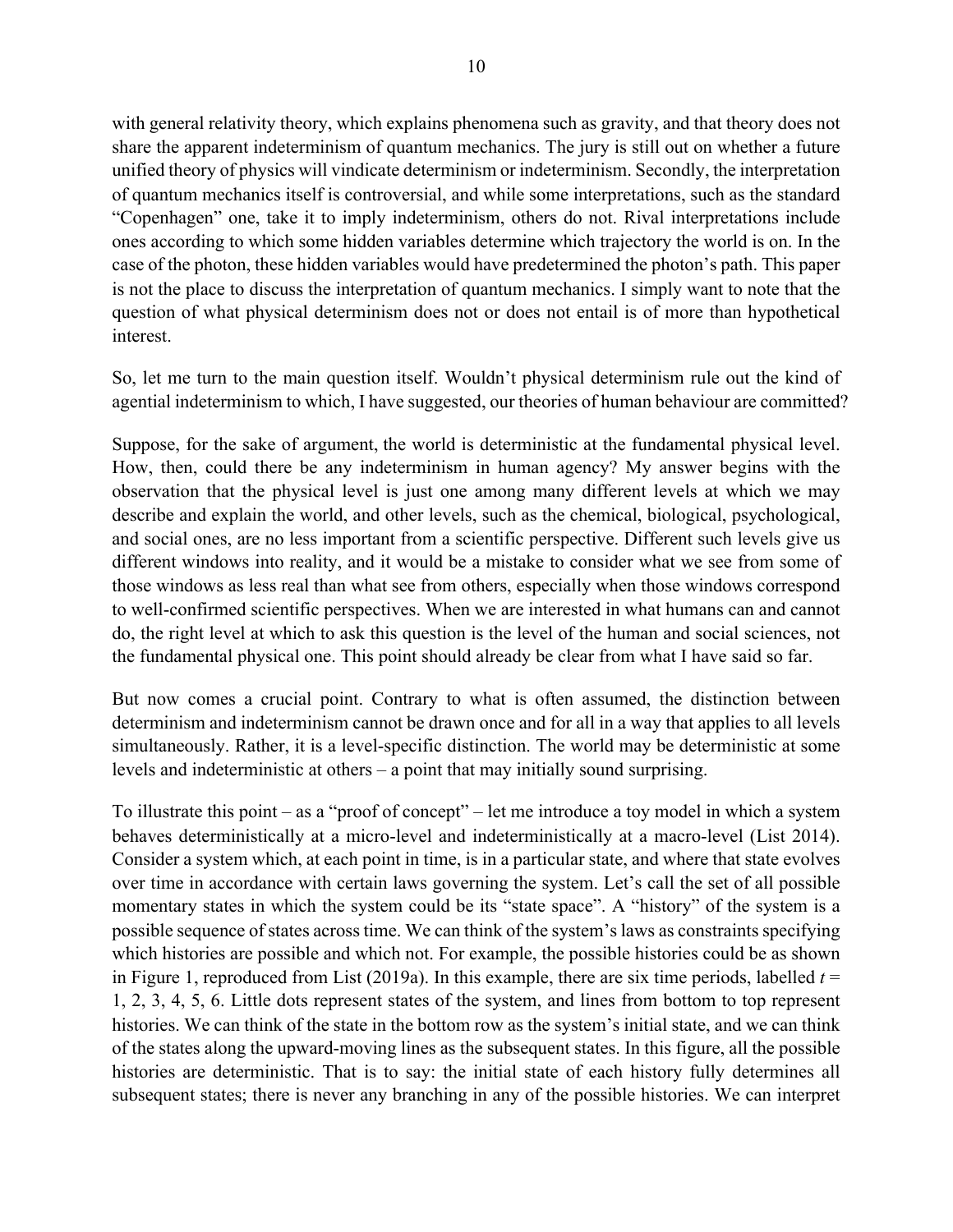with general relativity theory, which explains phenomena such as gravity, and that theory does not share the apparent indeterminism of quantum mechanics. The jury is still out on whether a future unified theory of physics will vindicate determinism or indeterminism. Secondly, the interpretation of quantum mechanics itself is controversial, and while some interpretations, such as the standard "Copenhagen" one, take it to imply indeterminism, others do not. Rival interpretations include ones according to which some hidden variables determine which trajectory the world is on. In the case of the photon, these hidden variables would have predetermined the photon's path. This paper is not the place to discuss the interpretation of quantum mechanics. I simply want to note that the question of what physical determinism does not or does not entail is of more than hypothetical interest.

So, let me turn to the main question itself. Wouldn't physical determinism rule out the kind of agential indeterminism to which, I have suggested, our theories of human behaviour are committed?

Suppose, for the sake of argument, the world is deterministic at the fundamental physical level. How, then, could there be any indeterminism in human agency? My answer begins with the observation that the physical level is just one among many different levels at which we may describe and explain the world, and other levels, such as the chemical, biological, psychological, and social ones, are no less important from a scientific perspective. Different such levels give us different windows into reality, and it would be a mistake to consider what we see from some of those windows as less real than what see from others, especially when those windows correspond to well-confirmed scientific perspectives. When we are interested in what humans can and cannot do, the right level at which to ask this question is the level of the human and social sciences, not the fundamental physical one. This point should already be clear from what I have said so far.

But now comes a crucial point. Contrary to what is often assumed, the distinction between determinism and indeterminism cannot be drawn once and for all in a way that applies to all levels simultaneously. Rather, it is a level-specific distinction. The world may be deterministic at some levels and indeterministic at others – a point that may initially sound surprising.

To illustrate this point – as a "proof of concept" – let me introduce a toy model in which a system behaves deterministically at a micro-level and indeterministically at a macro-level (List 2014). Consider a system which, at each point in time, is in a particular state, and where that state evolves over time in accordance with certain laws governing the system. Let's call the set of all possible momentary states in which the system could be its "state space". A "history" of the system is a possible sequence of states across time. We can think of the system's laws as constraints specifying which histories are possible and which not. For example, the possible histories could be as shown in Figure 1, reproduced from List (2019a). In this example, there are six time periods, labelled  $t =$ 1, 2, 3, 4, 5, 6. Little dots represent states of the system, and lines from bottom to top represent histories. We can think of the state in the bottom row as the system's initial state, and we can think of the states along the upward-moving lines as the subsequent states. In this figure, all the possible histories are deterministic. That is to say: the initial state of each history fully determines all subsequent states; there is never any branching in any of the possible histories. We can interpret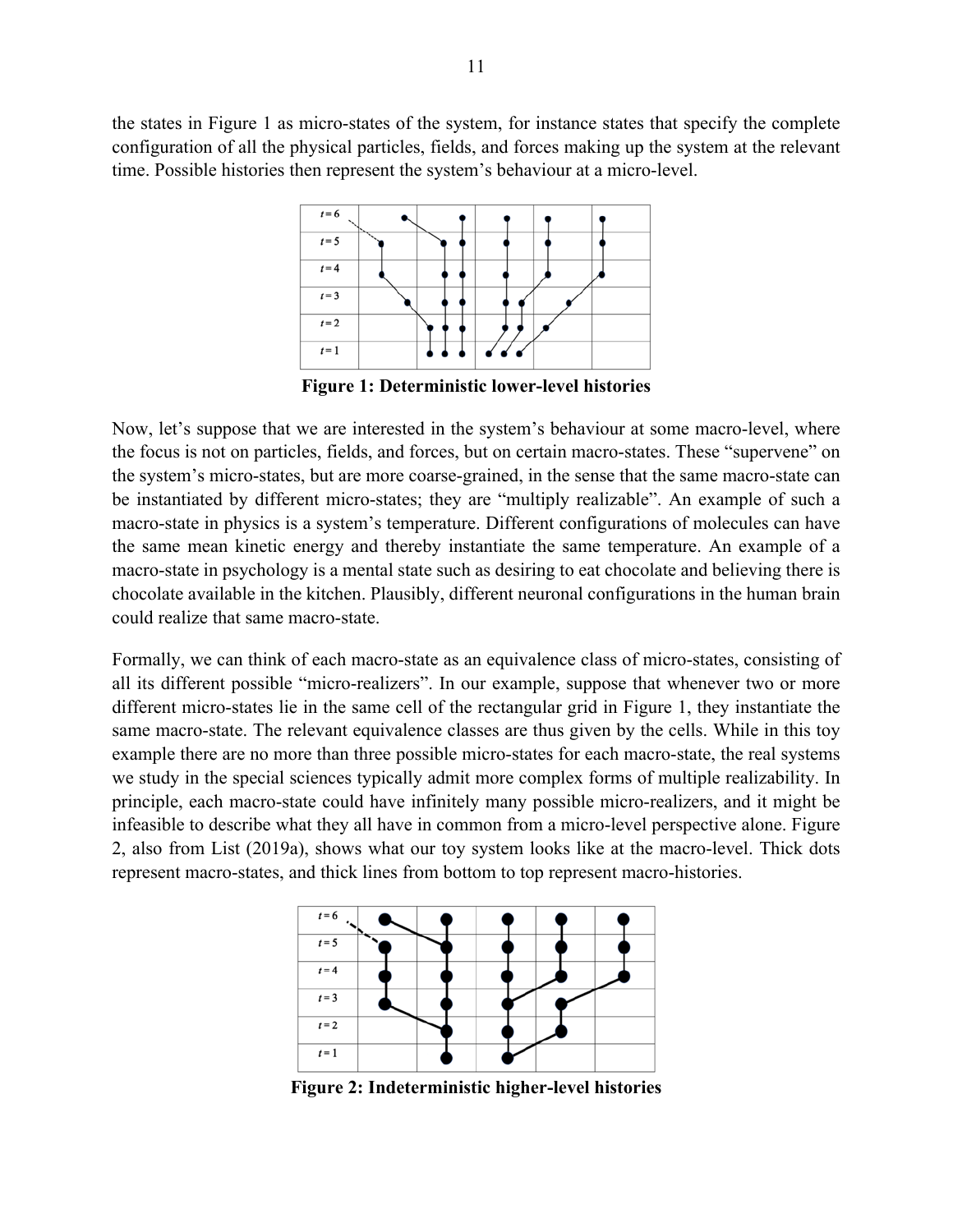the states in Figure 1 as micro-states of the system, for instance states that specify the complete configuration of all the physical particles, fields, and forces making up the system at the relevant time. Possible histories then represent the system's behaviour at a micro-level.



**Figure 1: Deterministic lower-level histories**

Now, let's suppose that we are interested in the system's behaviour at some macro-level, where the focus is not on particles, fields, and forces, but on certain macro-states. These "supervene" on the system's micro-states, but are more coarse-grained, in the sense that the same macro-state can be instantiated by different micro-states; they are "multiply realizable". An example of such a macro-state in physics is a system's temperature. Different configurations of molecules can have the same mean kinetic energy and thereby instantiate the same temperature. An example of a macro-state in psychology is a mental state such as desiring to eat chocolate and believing there is chocolate available in the kitchen. Plausibly, different neuronal configurations in the human brain could realize that same macro-state.

Formally, we can think of each macro-state as an equivalence class of micro-states, consisting of all its different possible "micro-realizers". In our example, suppose that whenever two or more different micro-states lie in the same cell of the rectangular grid in Figure 1, they instantiate the same macro-state. The relevant equivalence classes are thus given by the cells. While in this toy example there are no more than three possible micro-states for each macro-state, the real systems we study in the special sciences typically admit more complex forms of multiple realizability. In principle, each macro-state could have infinitely many possible micro-realizers, and it might be infeasible to describe what they all have in common from a micro-level perspective alone. Figure 2, also from List (2019a), shows what our toy system looks like at the macro-level. Thick dots represent macro-states, and thick lines from bottom to top represent macro-histories.



**Figure 2: Indeterministic higher-level histories**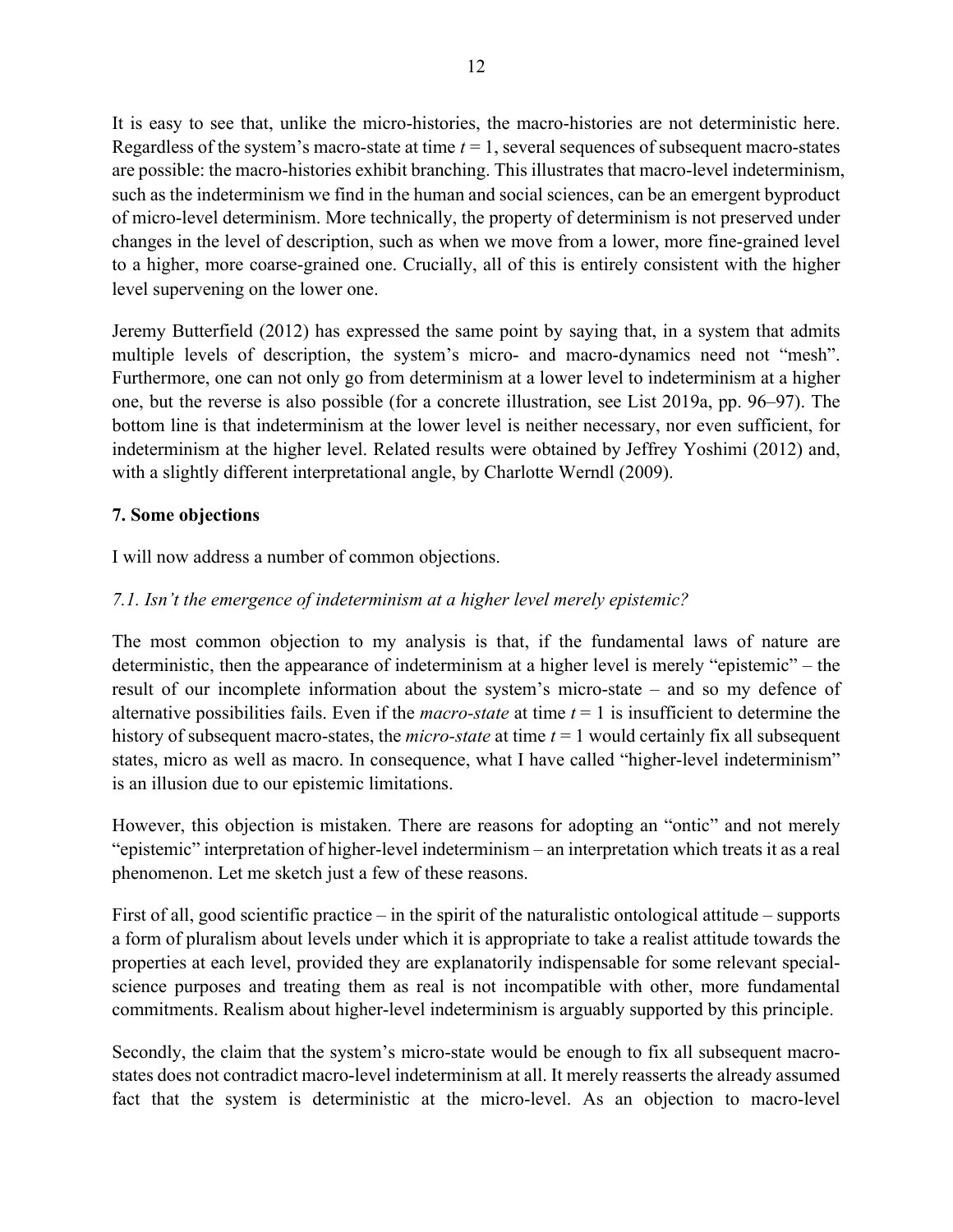It is easy to see that, unlike the micro-histories, the macro-histories are not deterministic here. Regardless of the system's macro-state at time *t* = 1, several sequences of subsequent macro-states are possible: the macro-histories exhibit branching. This illustrates that macro-level indeterminism, such as the indeterminism we find in the human and social sciences, can be an emergent byproduct of micro-level determinism. More technically, the property of determinism is not preserved under changes in the level of description, such as when we move from a lower, more fine-grained level to a higher, more coarse-grained one. Crucially, all of this is entirely consistent with the higher level supervening on the lower one.

Jeremy Butterfield (2012) has expressed the same point by saying that, in a system that admits multiple levels of description, the system's micro- and macro-dynamics need not "mesh". Furthermore, one can not only go from determinism at a lower level to indeterminism at a higher one, but the reverse is also possible (for a concrete illustration, see List 2019a, pp. 96–97). The bottom line is that indeterminism at the lower level is neither necessary, nor even sufficient, for indeterminism at the higher level. Related results were obtained by Jeffrey Yoshimi (2012) and, with a slightly different interpretational angle, by Charlotte Werndl (2009).

## **7. Some objections**

I will now address a number of common objections.

# *7.1. Isn't the emergence of indeterminism at a higher level merely epistemic?*

The most common objection to my analysis is that, if the fundamental laws of nature are deterministic, then the appearance of indeterminism at a higher level is merely "epistemic" – the result of our incomplete information about the system's micro-state – and so my defence of alternative possibilities fails. Even if the *macro-state* at time *t* = 1 is insufficient to determine the history of subsequent macro-states, the *micro-state* at time *t* = 1 would certainly fix all subsequent states, micro as well as macro. In consequence, what I have called "higher-level indeterminism" is an illusion due to our epistemic limitations.

However, this objection is mistaken. There are reasons for adopting an "ontic" and not merely "epistemic" interpretation of higher-level indeterminism – an interpretation which treats it as a real phenomenon. Let me sketch just a few of these reasons.

First of all, good scientific practice – in the spirit of the naturalistic ontological attitude – supports a form of pluralism about levels under which it is appropriate to take a realist attitude towards the properties at each level, provided they are explanatorily indispensable for some relevant specialscience purposes and treating them as real is not incompatible with other, more fundamental commitments. Realism about higher-level indeterminism is arguably supported by this principle.

Secondly, the claim that the system's micro-state would be enough to fix all subsequent macrostates does not contradict macro-level indeterminism at all. It merely reasserts the already assumed fact that the system is deterministic at the micro-level. As an objection to macro-level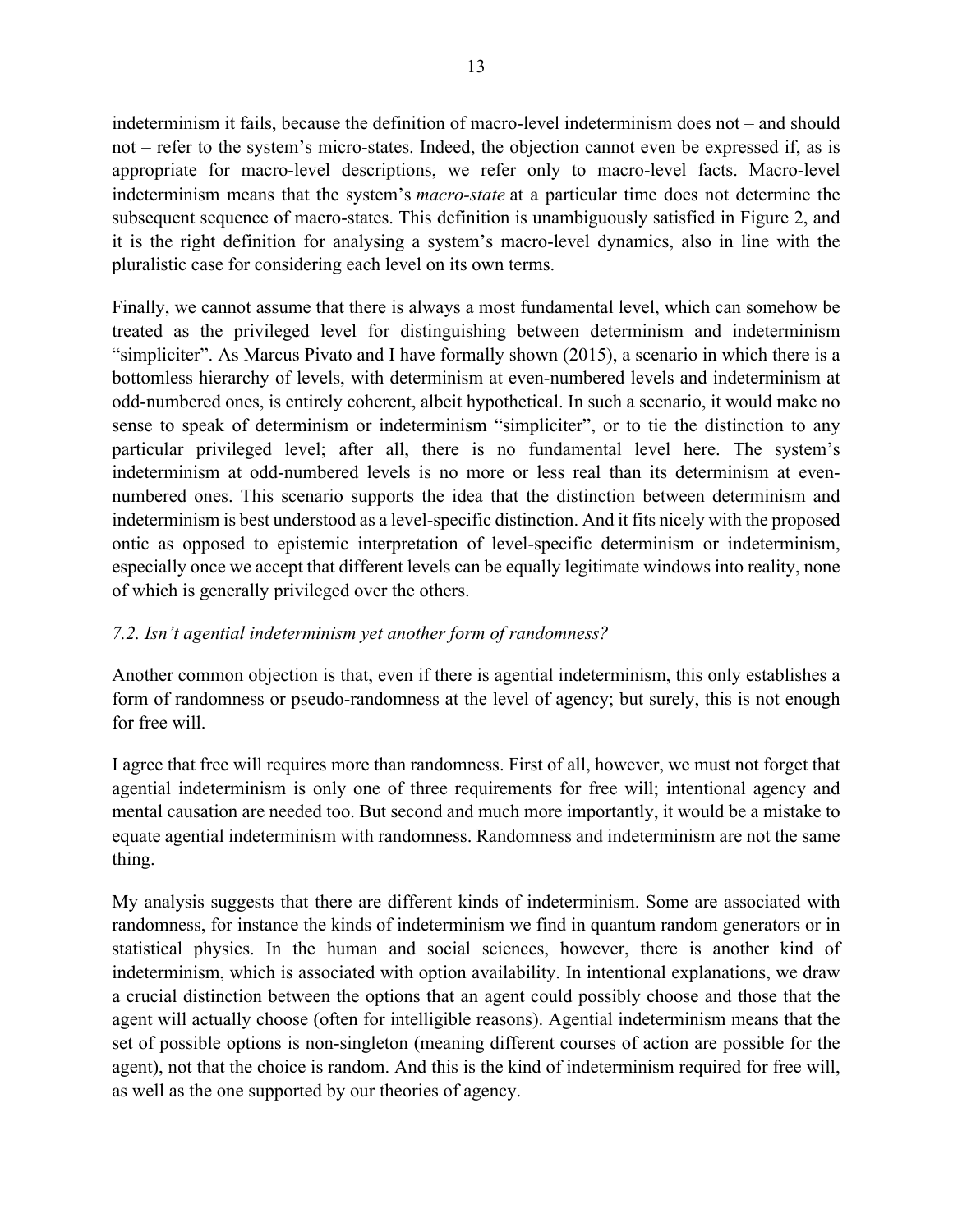indeterminism it fails, because the definition of macro-level indeterminism does not – and should not – refer to the system's micro-states. Indeed, the objection cannot even be expressed if, as is appropriate for macro-level descriptions, we refer only to macro-level facts. Macro-level indeterminism means that the system's *macro-state* at a particular time does not determine the subsequent sequence of macro-states. This definition is unambiguously satisfied in Figure 2, and it is the right definition for analysing a system's macro-level dynamics, also in line with the pluralistic case for considering each level on its own terms.

Finally, we cannot assume that there is always a most fundamental level, which can somehow be treated as the privileged level for distinguishing between determinism and indeterminism "simpliciter". As Marcus Pivato and I have formally shown (2015), a scenario in which there is a bottomless hierarchy of levels, with determinism at even-numbered levels and indeterminism at odd-numbered ones, is entirely coherent, albeit hypothetical. In such a scenario, it would make no sense to speak of determinism or indeterminism "simpliciter", or to tie the distinction to any particular privileged level; after all, there is no fundamental level here. The system's indeterminism at odd-numbered levels is no more or less real than its determinism at evennumbered ones. This scenario supports the idea that the distinction between determinism and indeterminism is best understood as a level-specific distinction. And it fits nicely with the proposed ontic as opposed to epistemic interpretation of level-specific determinism or indeterminism, especially once we accept that different levels can be equally legitimate windows into reality, none of which is generally privileged over the others.

## *7.2. Isn't agential indeterminism yet another form of randomness?*

Another common objection is that, even if there is agential indeterminism, this only establishes a form of randomness or pseudo-randomness at the level of agency; but surely, this is not enough for free will.

I agree that free will requires more than randomness. First of all, however, we must not forget that agential indeterminism is only one of three requirements for free will; intentional agency and mental causation are needed too. But second and much more importantly, it would be a mistake to equate agential indeterminism with randomness. Randomness and indeterminism are not the same thing.

My analysis suggests that there are different kinds of indeterminism. Some are associated with randomness, for instance the kinds of indeterminism we find in quantum random generators or in statistical physics. In the human and social sciences, however, there is another kind of indeterminism, which is associated with option availability. In intentional explanations, we draw a crucial distinction between the options that an agent could possibly choose and those that the agent will actually choose (often for intelligible reasons). Agential indeterminism means that the set of possible options is non-singleton (meaning different courses of action are possible for the agent), not that the choice is random. And this is the kind of indeterminism required for free will, as well as the one supported by our theories of agency.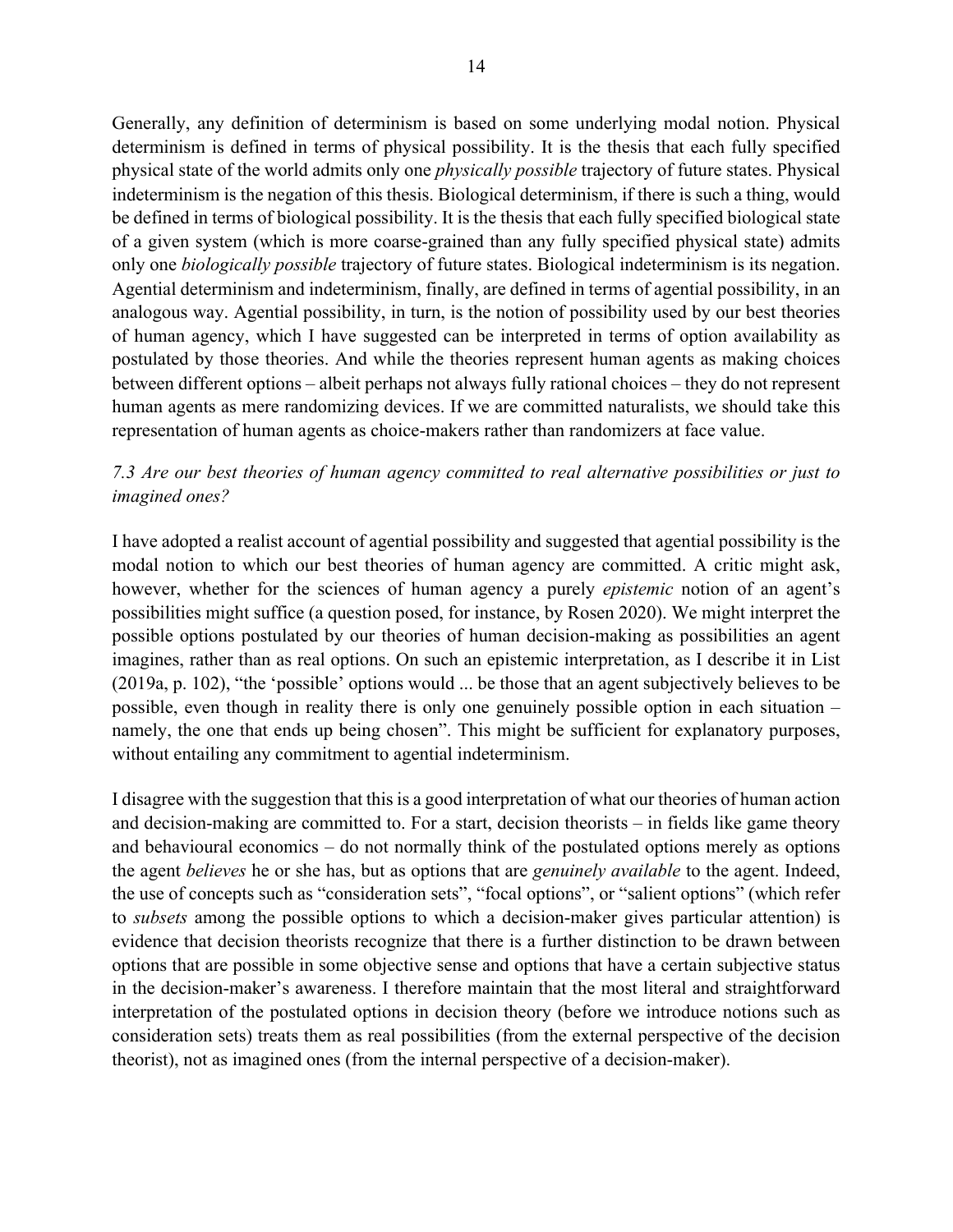Generally, any definition of determinism is based on some underlying modal notion. Physical determinism is defined in terms of physical possibility. It is the thesis that each fully specified physical state of the world admits only one *physically possible* trajectory of future states. Physical indeterminism is the negation of this thesis. Biological determinism, if there is such a thing, would be defined in terms of biological possibility. It is the thesis that each fully specified biological state of a given system (which is more coarse-grained than any fully specified physical state) admits only one *biologically possible* trajectory of future states. Biological indeterminism is its negation. Agential determinism and indeterminism, finally, are defined in terms of agential possibility, in an analogous way. Agential possibility, in turn, is the notion of possibility used by our best theories of human agency, which I have suggested can be interpreted in terms of option availability as postulated by those theories. And while the theories represent human agents as making choices between different options – albeit perhaps not always fully rational choices – they do not represent human agents as mere randomizing devices. If we are committed naturalists, we should take this representation of human agents as choice-makers rather than randomizers at face value.

## *7.3 Are our best theories of human agency committed to real alternative possibilities or just to imagined ones?*

I have adopted a realist account of agential possibility and suggested that agential possibility is the modal notion to which our best theories of human agency are committed. A critic might ask, however, whether for the sciences of human agency a purely *epistemic* notion of an agent's possibilities might suffice (a question posed, for instance, by Rosen 2020). We might interpret the possible options postulated by our theories of human decision-making as possibilities an agent imagines, rather than as real options. On such an epistemic interpretation, as I describe it in List (2019a, p. 102), "the 'possible' options would ... be those that an agent subjectively believes to be possible, even though in reality there is only one genuinely possible option in each situation – namely, the one that ends up being chosen". This might be sufficient for explanatory purposes, without entailing any commitment to agential indeterminism.

I disagree with the suggestion that this is a good interpretation of what our theories of human action and decision-making are committed to. For a start, decision theorists – in fields like game theory and behavioural economics – do not normally think of the postulated options merely as options the agent *believes* he or she has, but as options that are *genuinely available* to the agent. Indeed, the use of concepts such as "consideration sets", "focal options", or "salient options" (which refer to *subsets* among the possible options to which a decision-maker gives particular attention) is evidence that decision theorists recognize that there is a further distinction to be drawn between options that are possible in some objective sense and options that have a certain subjective status in the decision-maker's awareness. I therefore maintain that the most literal and straightforward interpretation of the postulated options in decision theory (before we introduce notions such as consideration sets) treats them as real possibilities (from the external perspective of the decision theorist), not as imagined ones (from the internal perspective of a decision-maker).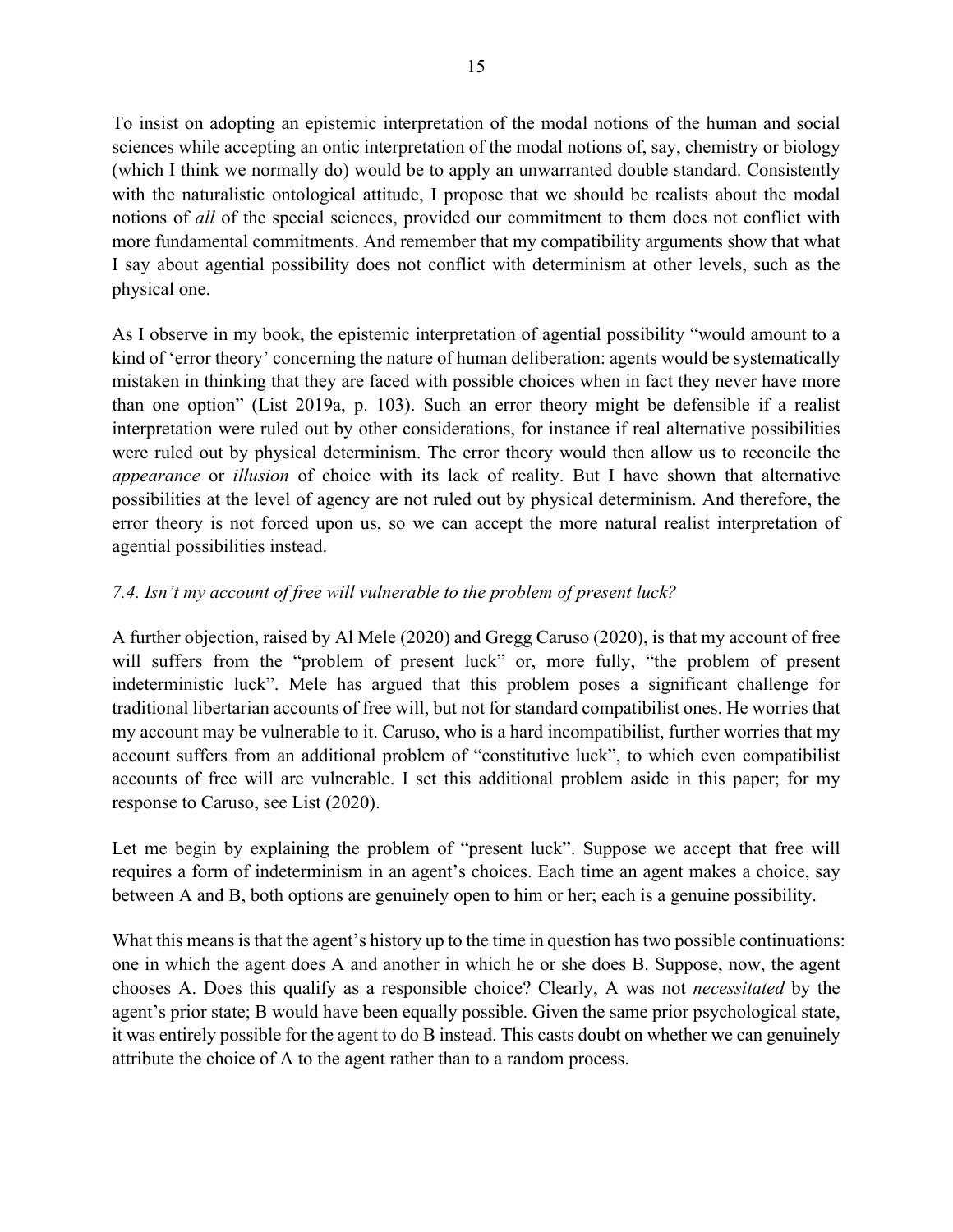To insist on adopting an epistemic interpretation of the modal notions of the human and social sciences while accepting an ontic interpretation of the modal notions of, say, chemistry or biology (which I think we normally do) would be to apply an unwarranted double standard. Consistently with the naturalistic ontological attitude, I propose that we should be realists about the modal notions of *all* of the special sciences, provided our commitment to them does not conflict with more fundamental commitments. And remember that my compatibility arguments show that what I say about agential possibility does not conflict with determinism at other levels, such as the physical one.

As I observe in my book, the epistemic interpretation of agential possibility "would amount to a kind of 'error theory' concerning the nature of human deliberation: agents would be systematically mistaken in thinking that they are faced with possible choices when in fact they never have more than one option" (List 2019a, p. 103). Such an error theory might be defensible if a realist interpretation were ruled out by other considerations, for instance if real alternative possibilities were ruled out by physical determinism. The error theory would then allow us to reconcile the *appearance* or *illusion* of choice with its lack of reality. But I have shown that alternative possibilities at the level of agency are not ruled out by physical determinism. And therefore, the error theory is not forced upon us, so we can accept the more natural realist interpretation of agential possibilities instead.

# *7.4. Isn't my account of free will vulnerable to the problem of present luck?*

A further objection, raised by Al Mele (2020) and Gregg Caruso (2020), is that my account of free will suffers from the "problem of present luck" or, more fully, "the problem of present indeterministic luck". Mele has argued that this problem poses a significant challenge for traditional libertarian accounts of free will, but not for standard compatibilist ones. He worries that my account may be vulnerable to it. Caruso, who is a hard incompatibilist, further worries that my account suffers from an additional problem of "constitutive luck", to which even compatibilist accounts of free will are vulnerable. I set this additional problem aside in this paper; for my response to Caruso, see List (2020).

Let me begin by explaining the problem of "present luck". Suppose we accept that free will requires a form of indeterminism in an agent's choices. Each time an agent makes a choice, say between A and B, both options are genuinely open to him or her; each is a genuine possibility.

What this means is that the agent's history up to the time in question has two possible continuations: one in which the agent does A and another in which he or she does B. Suppose, now, the agent chooses A. Does this qualify as a responsible choice? Clearly, A was not *necessitated* by the agent's prior state; B would have been equally possible. Given the same prior psychological state, it was entirely possible for the agent to do B instead. This casts doubt on whether we can genuinely attribute the choice of A to the agent rather than to a random process.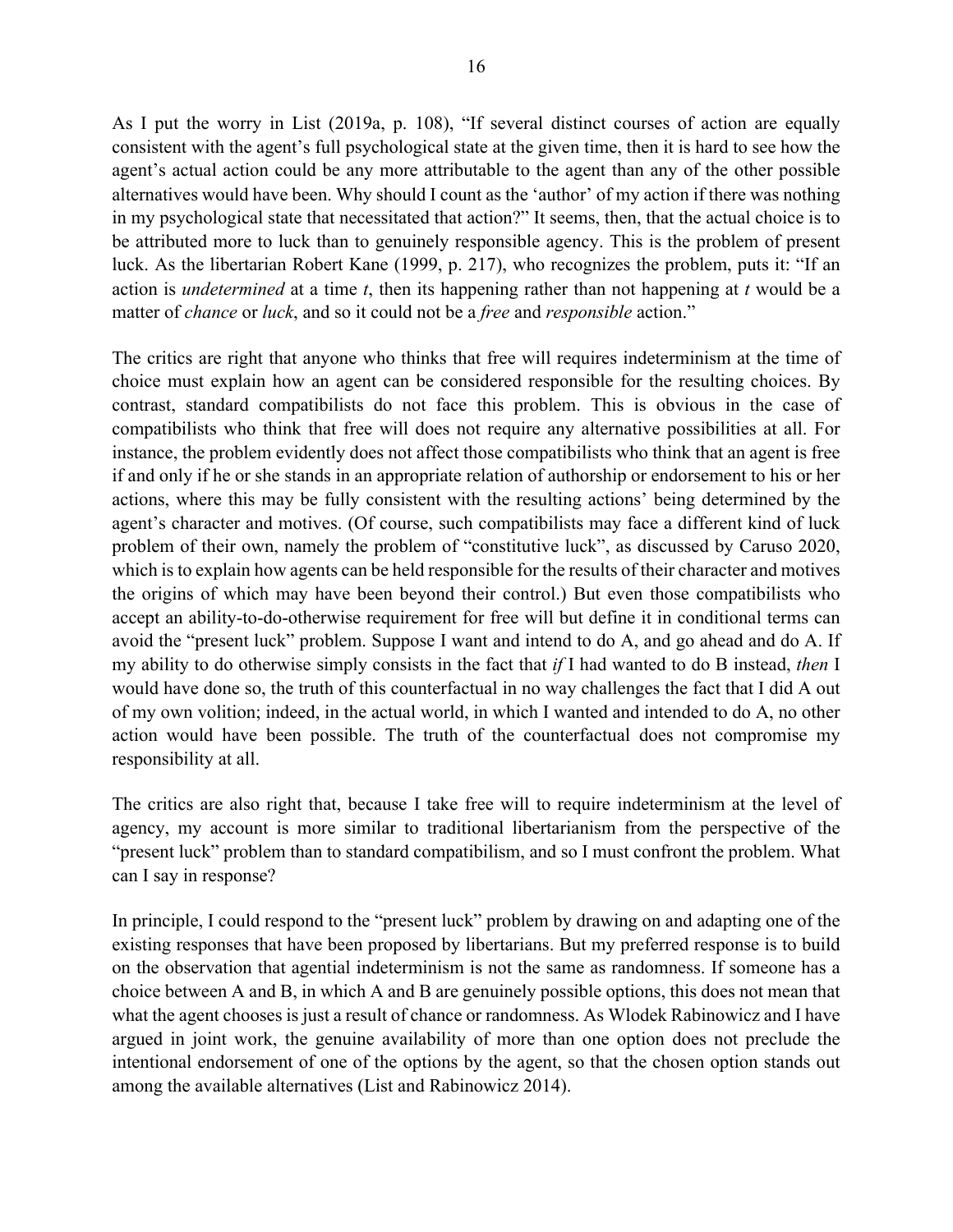As I put the worry in List (2019a, p. 108), "If several distinct courses of action are equally consistent with the agent's full psychological state at the given time, then it is hard to see how the agent's actual action could be any more attributable to the agent than any of the other possible alternatives would have been. Why should I count as the 'author' of my action if there was nothing in my psychological state that necessitated that action?" It seems, then, that the actual choice is to be attributed more to luck than to genuinely responsible agency. This is the problem of present luck. As the libertarian Robert Kane (1999, p. 217), who recognizes the problem, puts it: "If an action is *undetermined* at a time *t*, then its happening rather than not happening at *t* would be a matter of *chance* or *luck*, and so it could not be a *free* and *responsible* action."

The critics are right that anyone who thinks that free will requires indeterminism at the time of choice must explain how an agent can be considered responsible for the resulting choices. By contrast, standard compatibilists do not face this problem. This is obvious in the case of compatibilists who think that free will does not require any alternative possibilities at all. For instance, the problem evidently does not affect those compatibilists who think that an agent is free if and only if he or she stands in an appropriate relation of authorship or endorsement to his or her actions, where this may be fully consistent with the resulting actions' being determined by the agent's character and motives. (Of course, such compatibilists may face a different kind of luck problem of their own, namely the problem of "constitutive luck", as discussed by Caruso 2020, which is to explain how agents can be held responsible for the results of their character and motives the origins of which may have been beyond their control.) But even those compatibilists who accept an ability-to-do-otherwise requirement for free will but define it in conditional terms can avoid the "present luck" problem. Suppose I want and intend to do A, and go ahead and do A. If my ability to do otherwise simply consists in the fact that *if* I had wanted to do B instead, *then* I would have done so, the truth of this counterfactual in no way challenges the fact that I did A out of my own volition; indeed, in the actual world, in which I wanted and intended to do A, no other action would have been possible. The truth of the counterfactual does not compromise my responsibility at all.

The critics are also right that, because I take free will to require indeterminism at the level of agency, my account is more similar to traditional libertarianism from the perspective of the "present luck" problem than to standard compatibilism, and so I must confront the problem. What can I say in response?

In principle, I could respond to the "present luck" problem by drawing on and adapting one of the existing responses that have been proposed by libertarians. But my preferred response is to build on the observation that agential indeterminism is not the same as randomness. If someone has a choice between A and B, in which A and B are genuinely possible options, this does not mean that what the agent chooses is just a result of chance or randomness. As Wlodek Rabinowicz and I have argued in joint work, the genuine availability of more than one option does not preclude the intentional endorsement of one of the options by the agent, so that the chosen option stands out among the available alternatives (List and Rabinowicz 2014).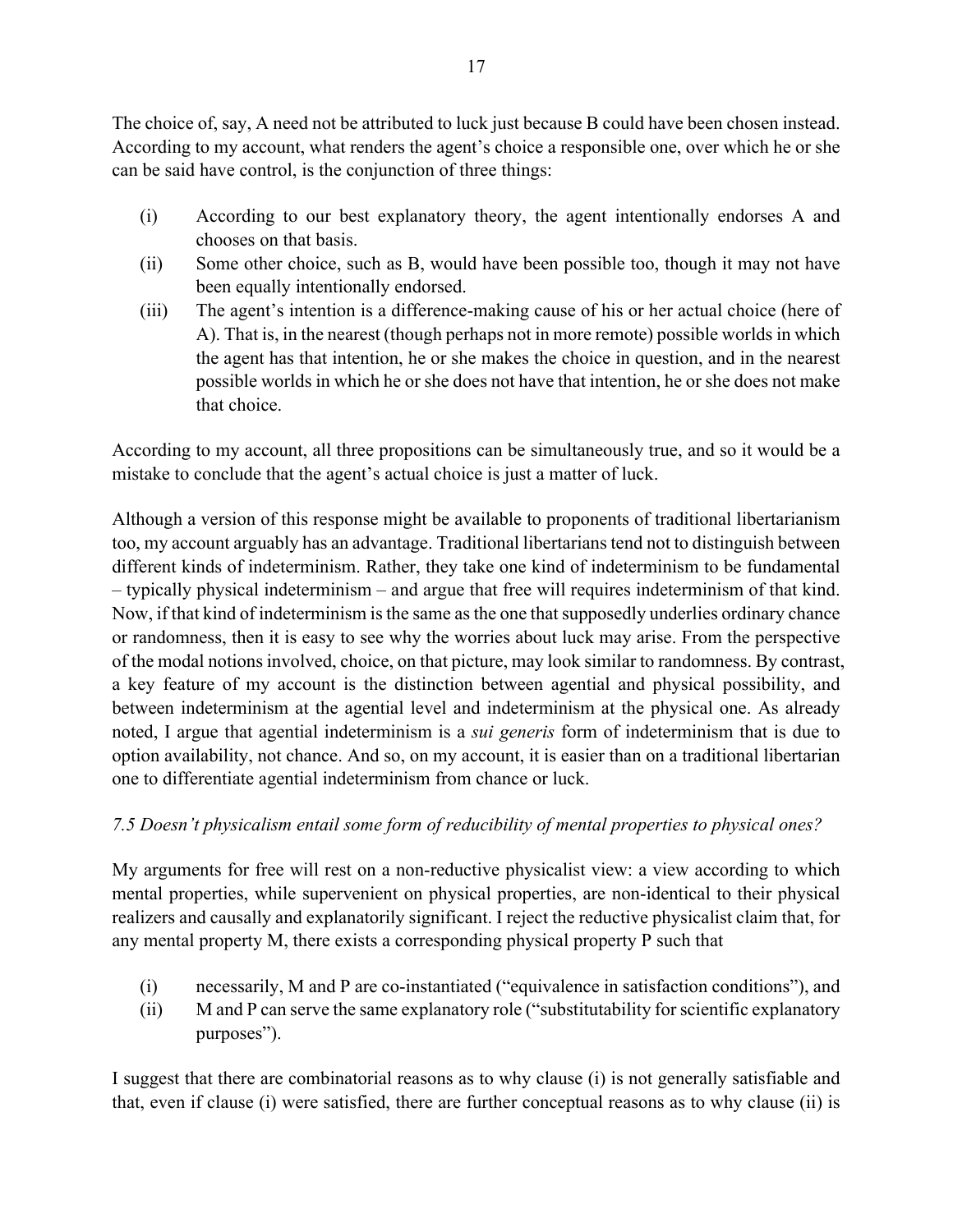The choice of, say, A need not be attributed to luck just because B could have been chosen instead. According to my account, what renders the agent's choice a responsible one, over which he or she can be said have control, is the conjunction of three things:

- (i) According to our best explanatory theory, the agent intentionally endorses A and chooses on that basis.
- (ii) Some other choice, such as B, would have been possible too, though it may not have been equally intentionally endorsed.
- (iii) The agent's intention is a difference-making cause of his or her actual choice (here of A). That is, in the nearest (though perhaps not in more remote) possible worlds in which the agent has that intention, he or she makes the choice in question, and in the nearest possible worlds in which he or she does not have that intention, he or she does not make that choice.

According to my account, all three propositions can be simultaneously true, and so it would be a mistake to conclude that the agent's actual choice is just a matter of luck.

Although a version of this response might be available to proponents of traditional libertarianism too, my account arguably has an advantage. Traditional libertarians tend not to distinguish between different kinds of indeterminism. Rather, they take one kind of indeterminism to be fundamental – typically physical indeterminism – and argue that free will requires indeterminism of that kind. Now, if that kind of indeterminism is the same as the one that supposedly underlies ordinary chance or randomness, then it is easy to see why the worries about luck may arise. From the perspective of the modal notions involved, choice, on that picture, may look similar to randomness. By contrast, a key feature of my account is the distinction between agential and physical possibility, and between indeterminism at the agential level and indeterminism at the physical one. As already noted, I argue that agential indeterminism is a *sui generis* form of indeterminism that is due to option availability, not chance. And so, on my account, it is easier than on a traditional libertarian one to differentiate agential indeterminism from chance or luck.

# *7.5 Doesn't physicalism entail some form of reducibility of mental properties to physical ones?*

My arguments for free will rest on a non-reductive physicalist view: a view according to which mental properties, while supervenient on physical properties, are non-identical to their physical realizers and causally and explanatorily significant. I reject the reductive physicalist claim that, for any mental property M, there exists a corresponding physical property P such that

- (i) necessarily, M and P are co-instantiated ("equivalence in satisfaction conditions"), and
- (ii) M and P can serve the same explanatory role ("substitutability for scientific explanatory purposes").

I suggest that there are combinatorial reasons as to why clause (i) is not generally satisfiable and that, even if clause (i) were satisfied, there are further conceptual reasons as to why clause (ii) is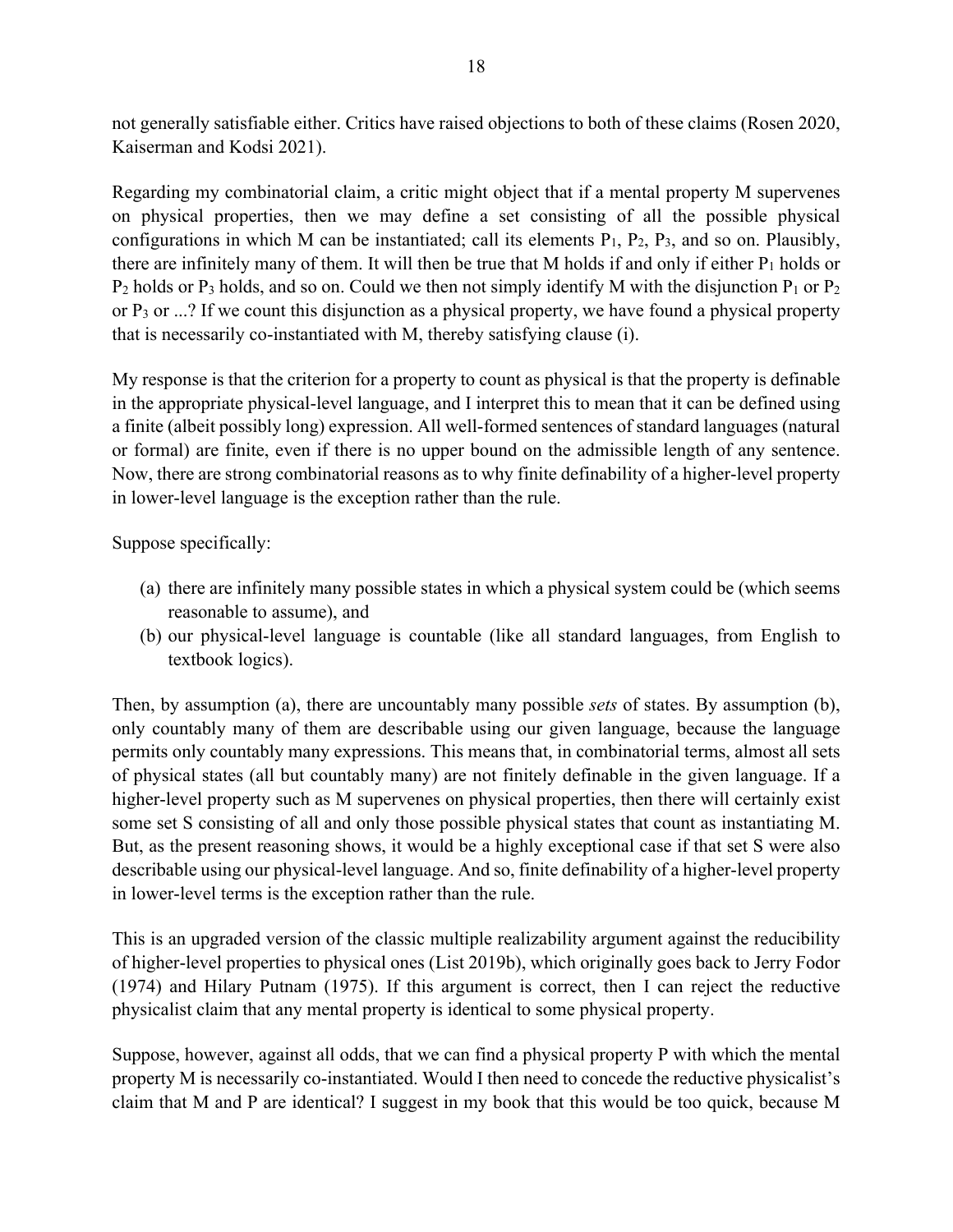not generally satisfiable either. Critics have raised objections to both of these claims (Rosen 2020, Kaiserman and Kodsi 2021).

Regarding my combinatorial claim, a critic might object that if a mental property M supervenes on physical properties, then we may define a set consisting of all the possible physical configurations in which M can be instantiated; call its elements  $P_1$ ,  $P_2$ ,  $P_3$ , and so on. Plausibly, there are infinitely many of them. It will then be true that M holds if and only if either  $P_1$  holds or  $P_2$  holds or  $P_3$  holds, and so on. Could we then not simply identify M with the disjunction  $P_1$  or  $P_2$ or P3 or ...? If we count this disjunction as a physical property, we have found a physical property that is necessarily co-instantiated with M, thereby satisfying clause (i).

My response is that the criterion for a property to count as physical is that the property is definable in the appropriate physical-level language, and I interpret this to mean that it can be defined using a finite (albeit possibly long) expression. All well-formed sentences of standard languages (natural or formal) are finite, even if there is no upper bound on the admissible length of any sentence. Now, there are strong combinatorial reasons as to why finite definability of a higher-level property in lower-level language is the exception rather than the rule.

Suppose specifically:

- (a) there are infinitely many possible states in which a physical system could be (which seems reasonable to assume), and
- (b) our physical-level language is countable (like all standard languages, from English to textbook logics).

Then, by assumption (a), there are uncountably many possible *sets* of states. By assumption (b), only countably many of them are describable using our given language, because the language permits only countably many expressions. This means that, in combinatorial terms, almost all sets of physical states (all but countably many) are not finitely definable in the given language. If a higher-level property such as M supervenes on physical properties, then there will certainly exist some set S consisting of all and only those possible physical states that count as instantiating M. But, as the present reasoning shows, it would be a highly exceptional case if that set S were also describable using our physical-level language. And so, finite definability of a higher-level property in lower-level terms is the exception rather than the rule.

This is an upgraded version of the classic multiple realizability argument against the reducibility of higher-level properties to physical ones (List 2019b), which originally goes back to Jerry Fodor (1974) and Hilary Putnam (1975). If this argument is correct, then I can reject the reductive physicalist claim that any mental property is identical to some physical property.

Suppose, however, against all odds, that we can find a physical property P with which the mental property M is necessarily co-instantiated. Would I then need to concede the reductive physicalist's claim that M and P are identical? I suggest in my book that this would be too quick, because M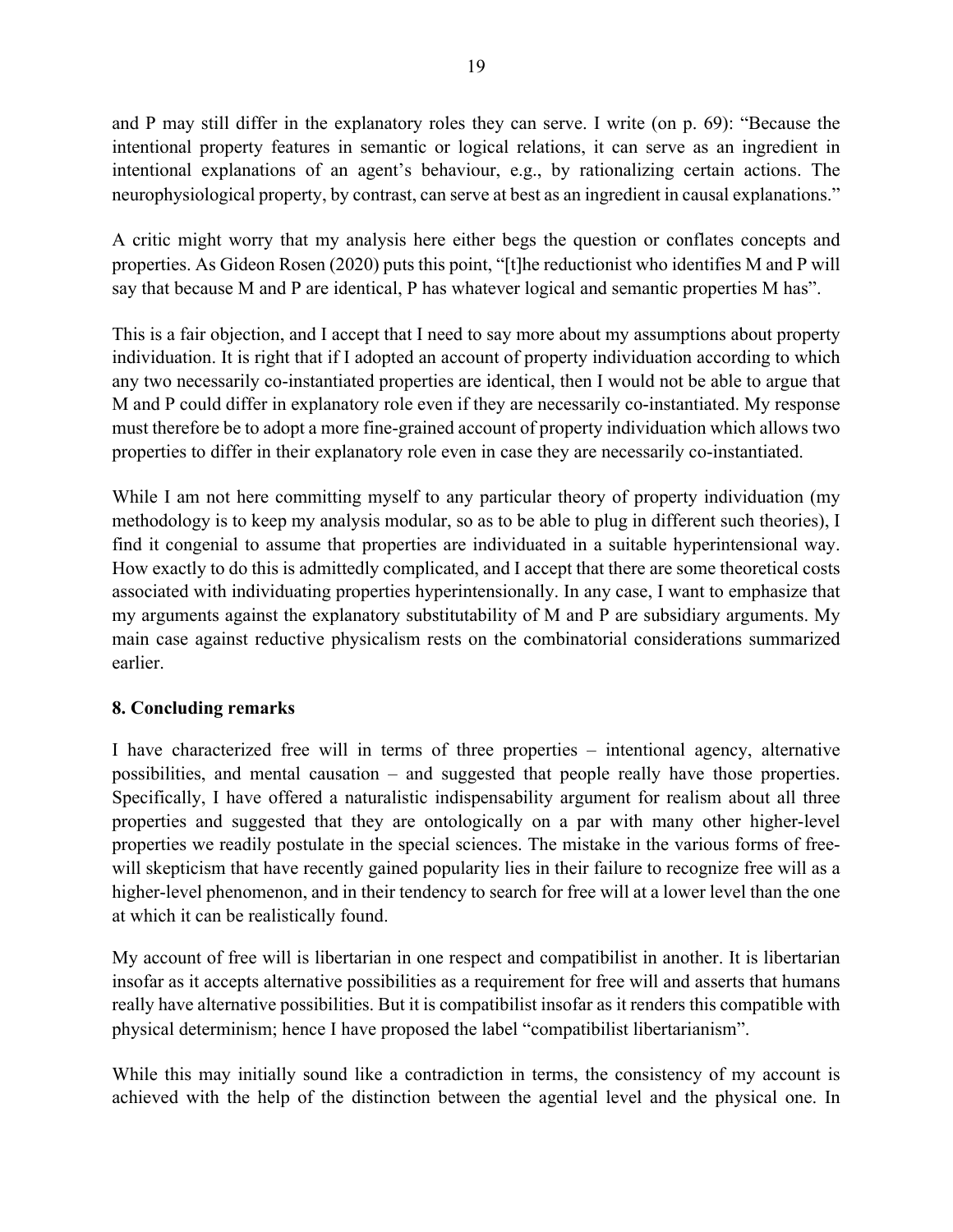and P may still differ in the explanatory roles they can serve. I write (on p. 69): "Because the intentional property features in semantic or logical relations, it can serve as an ingredient in intentional explanations of an agent's behaviour, e.g., by rationalizing certain actions. The neurophysiological property, by contrast, can serve at best as an ingredient in causal explanations."

A critic might worry that my analysis here either begs the question or conflates concepts and properties. As Gideon Rosen (2020) puts this point, "[t]he reductionist who identifies M and P will say that because M and P are identical, P has whatever logical and semantic properties M has".

This is a fair objection, and I accept that I need to say more about my assumptions about property individuation. It is right that if I adopted an account of property individuation according to which any two necessarily co-instantiated properties are identical, then I would not be able to argue that M and P could differ in explanatory role even if they are necessarily co-instantiated. My response must therefore be to adopt a more fine-grained account of property individuation which allows two properties to differ in their explanatory role even in case they are necessarily co-instantiated.

While I am not here committing myself to any particular theory of property individuation (my methodology is to keep my analysis modular, so as to be able to plug in different such theories), I find it congenial to assume that properties are individuated in a suitable hyperintensional way. How exactly to do this is admittedly complicated, and I accept that there are some theoretical costs associated with individuating properties hyperintensionally. In any case, I want to emphasize that my arguments against the explanatory substitutability of M and P are subsidiary arguments. My main case against reductive physicalism rests on the combinatorial considerations summarized earlier.

## **8. Concluding remarks**

I have characterized free will in terms of three properties – intentional agency, alternative possibilities, and mental causation – and suggested that people really have those properties. Specifically, I have offered a naturalistic indispensability argument for realism about all three properties and suggested that they are ontologically on a par with many other higher-level properties we readily postulate in the special sciences. The mistake in the various forms of freewill skepticism that have recently gained popularity lies in their failure to recognize free will as a higher-level phenomenon, and in their tendency to search for free will at a lower level than the one at which it can be realistically found.

My account of free will is libertarian in one respect and compatibilist in another. It is libertarian insofar as it accepts alternative possibilities as a requirement for free will and asserts that humans really have alternative possibilities. But it is compatibilist insofar as it renders this compatible with physical determinism; hence I have proposed the label "compatibilist libertarianism".

While this may initially sound like a contradiction in terms, the consistency of my account is achieved with the help of the distinction between the agential level and the physical one. In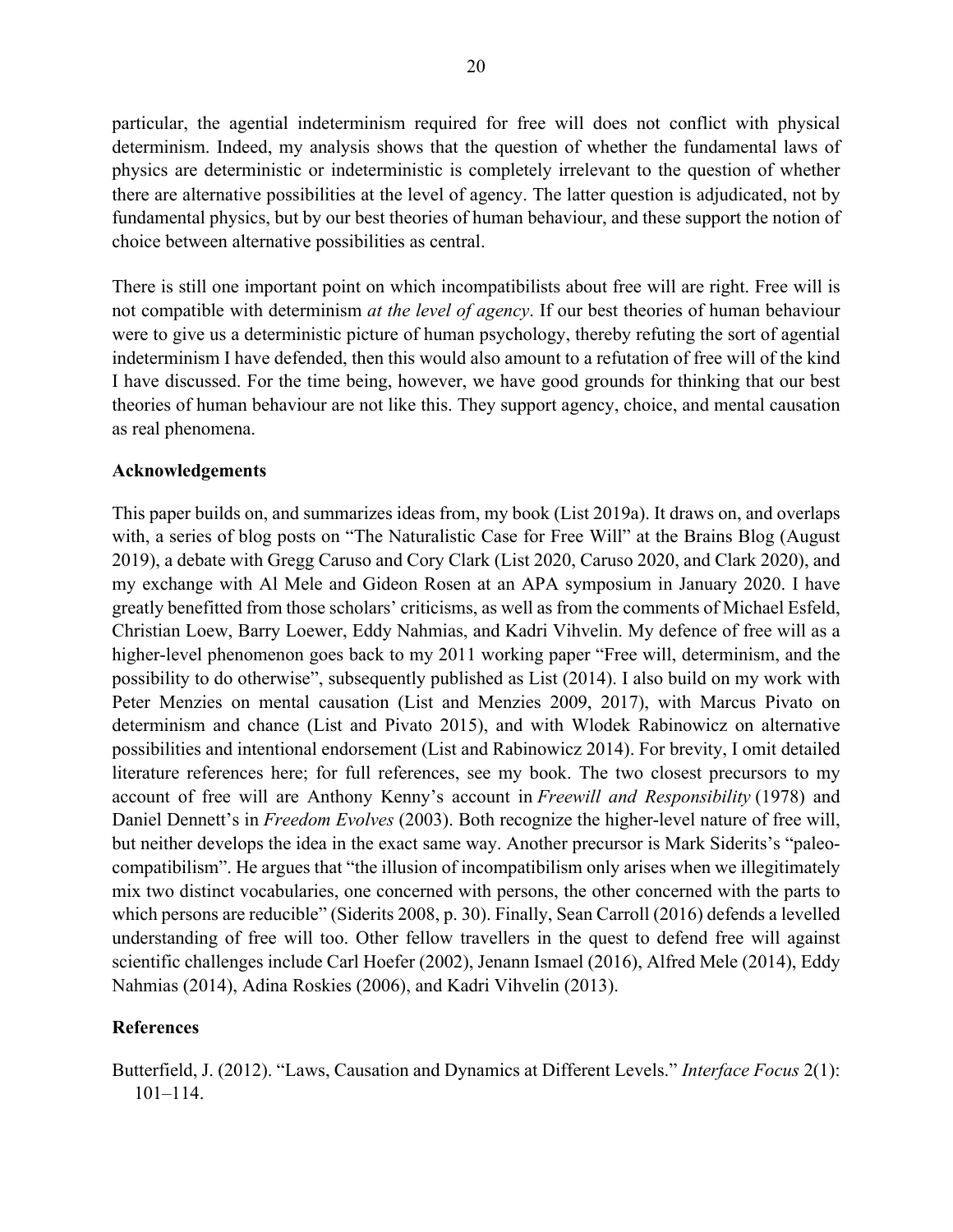particular, the agential indeterminism required for free will does not conflict with physical determinism. Indeed, my analysis shows that the question of whether the fundamental laws of physics are deterministic or indeterministic is completely irrelevant to the question of whether there are alternative possibilities at the level of agency. The latter question is adjudicated, not by fundamental physics, but by our best theories of human behaviour, and these support the notion of choice between alternative possibilities as central.

There is still one important point on which incompatibilists about free will are right. Free will is not compatible with determinism *at the level of agency*. If our best theories of human behaviour were to give us a deterministic picture of human psychology, thereby refuting the sort of agential indeterminism I have defended, then this would also amount to a refutation of free will of the kind I have discussed. For the time being, however, we have good grounds for thinking that our best theories of human behaviour are not like this. They support agency, choice, and mental causation as real phenomena.

#### **Acknowledgements**

This paper builds on, and summarizes ideas from, my book (List 2019a). It draws on, and overlaps with, a series of blog posts on "The Naturalistic Case for Free Will" at the Brains Blog (August 2019), a debate with Gregg Caruso and Cory Clark (List 2020, Caruso 2020, and Clark 2020), and my exchange with Al Mele and Gideon Rosen at an APA symposium in January 2020. I have greatly benefitted from those scholars' criticisms, as well as from the comments of Michael Esfeld, Christian Loew, Barry Loewer, Eddy Nahmias, and Kadri Vihvelin. My defence of free will as a higher-level phenomenon goes back to my 2011 working paper "Free will, determinism, and the possibility to do otherwise", subsequently published as List (2014). I also build on my work with Peter Menzies on mental causation (List and Menzies 2009, 2017), with Marcus Pivato on determinism and chance (List and Pivato 2015), and with Wlodek Rabinowicz on alternative possibilities and intentional endorsement (List and Rabinowicz 2014). For brevity, I omit detailed literature references here; for full references, see my book. The two closest precursors to my account of free will are Anthony Kenny's account in *Freewill and Responsibility* (1978) and Daniel Dennett's in *Freedom Evolves* (2003). Both recognize the higher-level nature of free will, but neither develops the idea in the exact same way. Another precursor is Mark Siderits's "paleocompatibilism". He argues that "the illusion of incompatibilism only arises when we illegitimately mix two distinct vocabularies, one concerned with persons, the other concerned with the parts to which persons are reducible" (Siderits 2008, p. 30). Finally, Sean Carroll (2016) defends a levelled understanding of free will too. Other fellow travellers in the quest to defend free will against scientific challenges include Carl Hoefer (2002), Jenann Ismael (2016), Alfred Mele (2014), Eddy Nahmias (2014), Adina Roskies (2006), and Kadri Vihvelin (2013).

#### **References**

Butterfield, J. (2012). "Laws, Causation and Dynamics at Different Levels." *Interface Focus* 2(1): 101–114.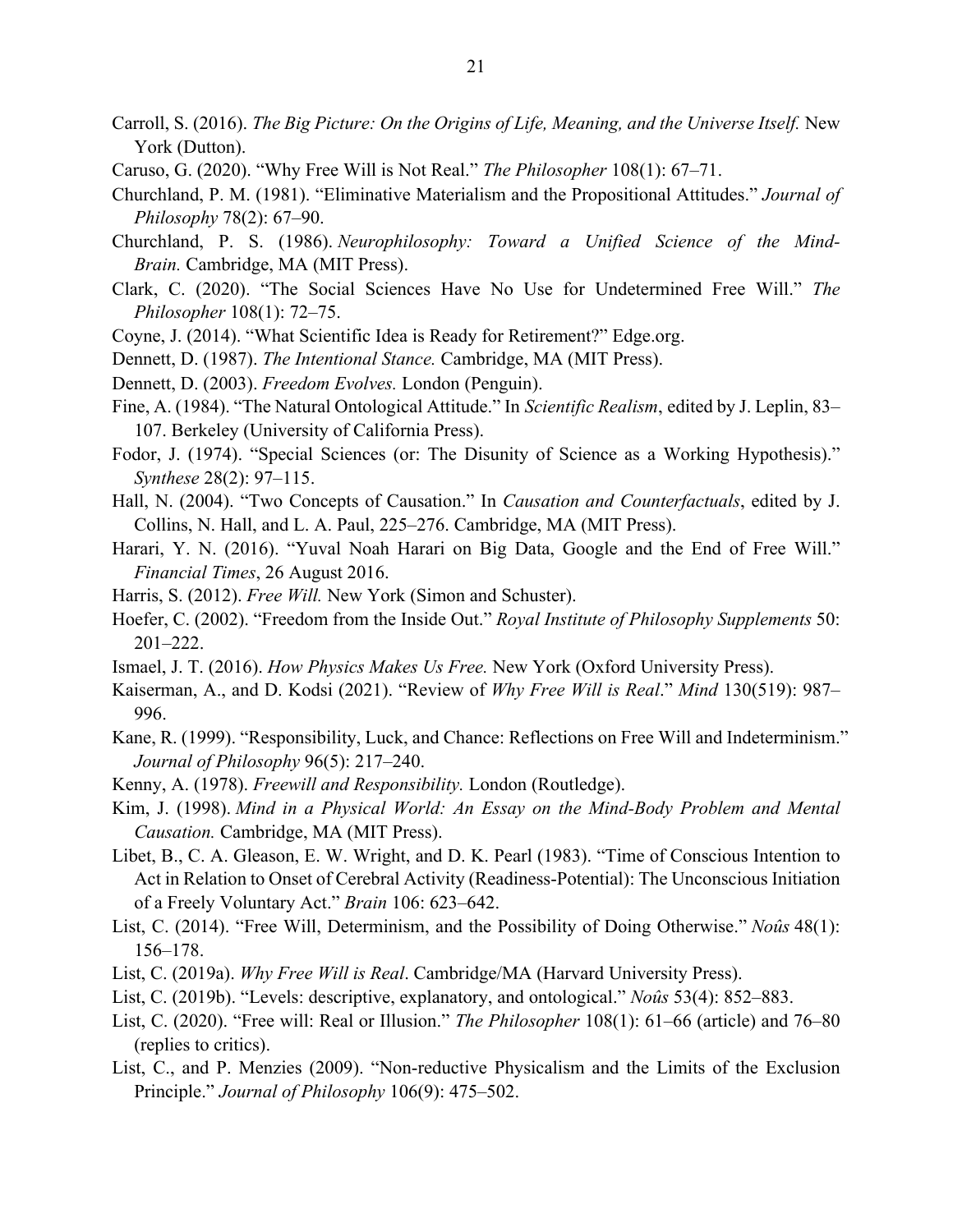- Carroll, S. (2016). *The Big Picture: On the Origins of Life, Meaning, and the Universe Itself.* New York (Dutton).
- Caruso, G. (2020). "Why Free Will is Not Real." *The Philosopher* 108(1): 67–71.
- Churchland, P. M. (1981). "Eliminative Materialism and the Propositional Attitudes." *Journal of Philosophy* 78(2): 67–90.
- Churchland, P. S. (1986). *Neurophilosophy: Toward a Unified Science of the Mind-Brain.* Cambridge, MA (MIT Press).
- Clark, C. (2020). "The Social Sciences Have No Use for Undetermined Free Will." *The Philosopher* 108(1): 72–75.
- Coyne, J. (2014). "What Scientific Idea is Ready for Retirement?" Edge.org.
- Dennett, D. (1987). *The Intentional Stance.* Cambridge, MA (MIT Press).
- Dennett, D. (2003). *Freedom Evolves.* London (Penguin).
- Fine, A. (1984). "The Natural Ontological Attitude." In *Scientific Realism*, edited by J. Leplin, 83– 107. Berkeley (University of California Press).
- Fodor, J. (1974). "Special Sciences (or: The Disunity of Science as a Working Hypothesis)." *Synthese* 28(2): 97–115.
- Hall, N. (2004). "Two Concepts of Causation." In *Causation and Counterfactuals*, edited by J. Collins, N. Hall, and L. A. Paul, 225–276. Cambridge, MA (MIT Press).
- Harari, Y. N. (2016). "Yuval Noah Harari on Big Data, Google and the End of Free Will." *Financial Times*, 26 August 2016.
- Harris, S. (2012). *Free Will.* New York (Simon and Schuster).
- Hoefer, C. (2002). "Freedom from the Inside Out." *Royal Institute of Philosophy Supplements* 50: 201–222.
- Ismael, J. T. (2016). *How Physics Makes Us Free.* New York (Oxford University Press).
- Kaiserman, A., and D. Kodsi (2021). "Review of *Why Free Will is Real*." *Mind* 130(519): 987– 996.
- Kane, R. (1999). "Responsibility, Luck, and Chance: Reflections on Free Will and Indeterminism." *Journal of Philosophy* 96(5): 217–240.
- Kenny, A. (1978). *Freewill and Responsibility.* London (Routledge).
- Kim, J. (1998). *Mind in a Physical World: An Essay on the Mind-Body Problem and Mental Causation.* Cambridge, MA (MIT Press).
- Libet, B., C. A. Gleason, E. W. Wright, and D. K. Pearl (1983). "Time of Conscious Intention to Act in Relation to Onset of Cerebral Activity (Readiness-Potential): The Unconscious Initiation of a Freely Voluntary Act." *Brain* 106: 623–642.
- List, C. (2014). "Free Will, Determinism, and the Possibility of Doing Otherwise." *Noûs* 48(1): 156–178.
- List, C. (2019a). *Why Free Will is Real*. Cambridge/MA (Harvard University Press).
- List, C. (2019b). "Levels: descriptive, explanatory, and ontological." *Noûs* 53(4): 852–883.
- List, C. (2020). "Free will: Real or Illusion." *The Philosopher* 108(1): 61–66 (article) and 76–80 (replies to critics).
- List, C., and P. Menzies (2009). "Non-reductive Physicalism and the Limits of the Exclusion Principle." *Journal of Philosophy* 106(9): 475–502.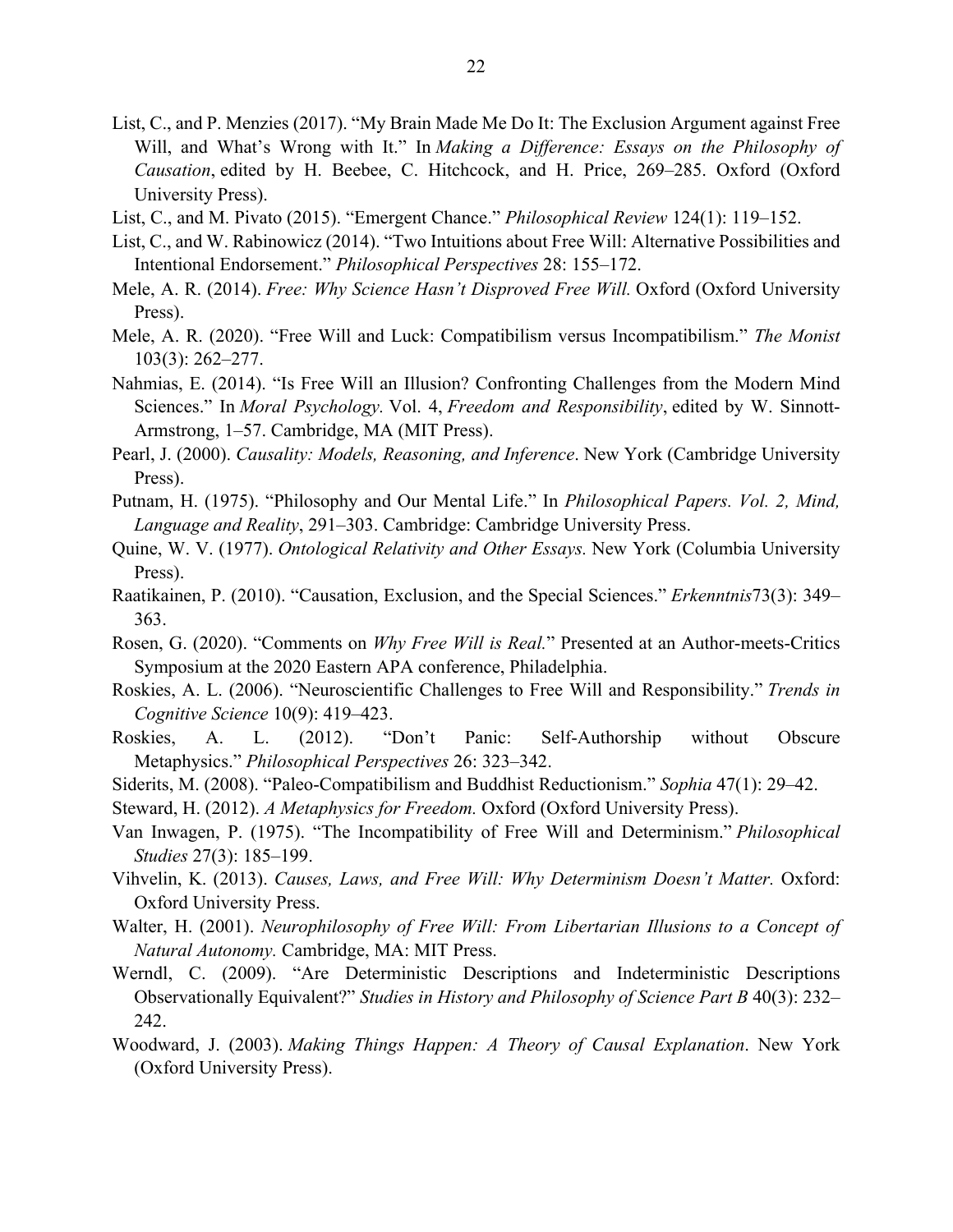- List, C., and P. Menzies (2017). "My Brain Made Me Do It: The Exclusion Argument against Free Will, and What's Wrong with It." In *Making a Difference: Essays on the Philosophy of Causation*, edited by H. Beebee, C. Hitchcock, and H. Price, 269–285. Oxford (Oxford University Press).
- List, C., and M. Pivato (2015). "Emergent Chance." *Philosophical Review* 124(1): 119–152.
- List, C., and W. Rabinowicz (2014). "Two Intuitions about Free Will: Alternative Possibilities and Intentional Endorsement." *Philosophical Perspectives* 28: 155–172.
- Mele, A. R. (2014). *Free: Why Science Hasn't Disproved Free Will.* Oxford (Oxford University Press).
- Mele, A. R. (2020). "Free Will and Luck: Compatibilism versus Incompatibilism." *The Monist* 103(3): 262–277.
- Nahmias, E. (2014). "Is Free Will an Illusion? Confronting Challenges from the Modern Mind Sciences." In *Moral Psychology.* Vol. 4, *Freedom and Responsibility*, edited by W. Sinnott-Armstrong, 1–57. Cambridge, MA (MIT Press).
- Pearl, J. (2000). *Causality: Models, Reasoning, and Inference*. New York (Cambridge University Press).
- Putnam, H. (1975). "Philosophy and Our Mental Life." In *Philosophical Papers. Vol. 2, Mind, Language and Reality*, 291–303. Cambridge: Cambridge University Press.
- Quine, W. V. (1977). *Ontological Relativity and Other Essays.* New York (Columbia University Press).
- Raatikainen, P. (2010). "Causation, Exclusion, and the Special Sciences." *Erkenntnis*73(3): 349– 363.
- Rosen, G. (2020). "Comments on *Why Free Will is Real.*" Presented at an Author-meets-Critics Symposium at the 2020 Eastern APA conference, Philadelphia.
- Roskies, A. L. (2006). "Neuroscientific Challenges to Free Will and Responsibility." *Trends in Cognitive Science* 10(9): 419–423.
- Roskies, A. L. (2012). "Don't Panic: Self-Authorship without Obscure Metaphysics." *Philosophical Perspectives* 26: 323–342.
- Siderits, M. (2008). "Paleo-Compatibilism and Buddhist Reductionism." *Sophia* 47(1): 29–42.
- Steward, H. (2012). *A Metaphysics for Freedom.* Oxford (Oxford University Press).
- Van Inwagen, P. (1975). "The Incompatibility of Free Will and Determinism." *Philosophical Studies* 27(3): 185–199.
- Vihvelin, K. (2013). *Causes, Laws, and Free Will: Why Determinism Doesn't Matter.* Oxford: Oxford University Press.
- Walter, H. (2001). *Neurophilosophy of Free Will: From Libertarian Illusions to a Concept of Natural Autonomy.* Cambridge, MA: MIT Press.
- Werndl, C. (2009). "Are Deterministic Descriptions and Indeterministic Descriptions Observationally Equivalent?" *Studies in History and Philosophy of Science Part B* 40(3): 232– 242.
- Woodward, J. (2003). *Making Things Happen: A Theory of Causal Explanation*. New York (Oxford University Press).